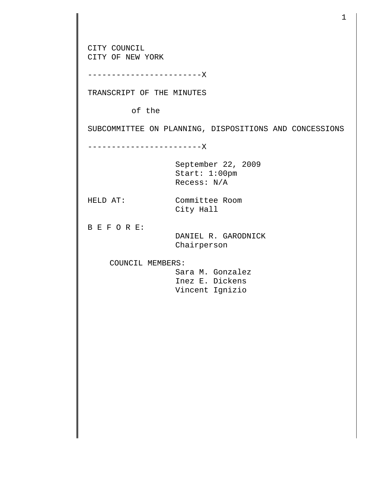CITY COUNCIL CITY OF NEW YORK ------------------------X TRANSCRIPT OF THE MINUTES of the SUBCOMMITTEE ON PLANNING, DISPOSITIONS AND CONCESSIONS ------------------------X September 22, 2009 Start: 1:00pm Recess: N/A HELD AT: Committee Room City Hall B E F O R E: DANIEL R. GARODNICK Chairperson COUNCIL MEMBERS: Sara M. Gonzalez Inez E. Dickens Vincent Ignizio

1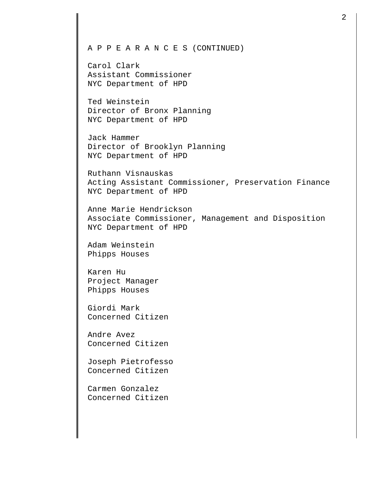## A P P E A R A N C E S (CONTINUED)

Carol Clark Assistant Commissioner NYC Department of HPD

Ted Weinstein Director of Bronx Planning NYC Department of HPD

Jack Hammer Director of Brooklyn Planning NYC Department of HPD

Ruthann Visnauskas Acting Assistant Commissioner, Preservation Finance NYC Department of HPD

Anne Marie Hendrickson Associate Commissioner, Management and Disposition NYC Department of HPD

Adam Weinstein Phipps Houses

Karen Hu Project Manager Phipps Houses

Giordi Mark Concerned Citizen

Andre Avez Concerned Citizen

Joseph Pietrofesso Concerned Citizen

Carmen Gonzalez Concerned Citizen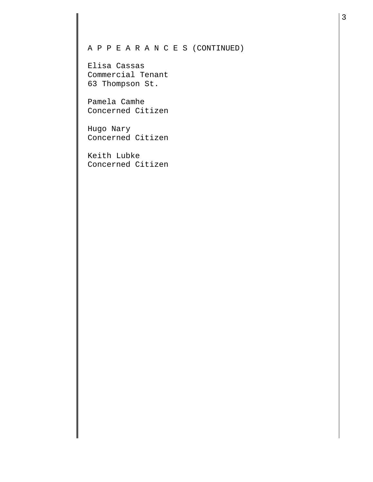## A P P E A R A N C E S (CONTINUED)

Elisa Cassas Commercial Tenant 63 Thompson St.

Pamela Camhe Concerned Citizen

Hugo Nary Concerned Citizen

Keith Lubke Concerned Citizen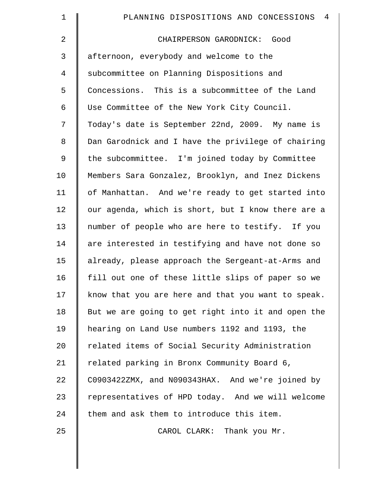| $\mathbf 1$ | 4<br>PLANNING DISPOSITIONS AND CONCESSIONS         |
|-------------|----------------------------------------------------|
| 2           | CHAIRPERSON GARODNICK: Good                        |
| 3           | afternoon, everybody and welcome to the            |
| 4           | subcommittee on Planning Dispositions and          |
| 5           | Concessions. This is a subcommittee of the Land    |
| 6           | Use Committee of the New York City Council.        |
| 7           | Today's date is September 22nd, 2009. My name is   |
| 8           | Dan Garodnick and I have the privilege of chairing |
| 9           | the subcommittee. I'm joined today by Committee    |
| 10          | Members Sara Gonzalez, Brooklyn, and Inez Dickens  |
| 11          | of Manhattan. And we're ready to get started into  |
| 12          | our agenda, which is short, but I know there are a |
| 13          | number of people who are here to testify. If you   |
| 14          | are interested in testifying and have not done so  |
| 15          | already, please approach the Sergeant-at-Arms and  |
| 16          | fill out one of these little slips of paper so we  |
| 17          | know that you are here and that you want to speak. |
| 18          | But we are going to get right into it and open the |
| 19          | hearing on Land Use numbers 1192 and 1193, the     |
| 20          | related items of Social Security Administration    |
| 21          | related parking in Bronx Community Board 6,        |
| 22          | C0903422ZMX, and N090343HAX. And we're joined by   |
| 23          | representatives of HPD today. And we will welcome  |
| 24          | them and ask them to introduce this item.          |
| 25          | CAROL CLARK: Thank you Mr.                         |
|             |                                                    |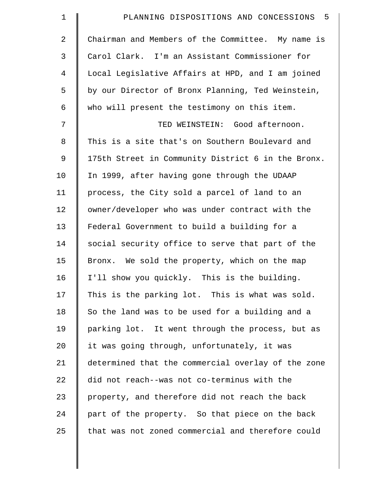| $\mathbf 1$ | 5<br>PLANNING DISPOSITIONS AND CONCESSIONS         |
|-------------|----------------------------------------------------|
| 2           | Chairman and Members of the Committee. My name is  |
| 3           | Carol Clark. I'm an Assistant Commissioner for     |
| 4           | Local Legislative Affairs at HPD, and I am joined  |
| 5           | by our Director of Bronx Planning, Ted Weinstein,  |
| 6           | who will present the testimony on this item.       |
| 7           | TED WEINSTEIN: Good afternoon.                     |
| 8           | This is a site that's on Southern Boulevard and    |
| 9           | 175th Street in Community District 6 in the Bronx. |
| 10          | In 1999, after having gone through the UDAAP       |
| 11          | process, the City sold a parcel of land to an      |
| 12          | owner/developer who was under contract with the    |
| 13          | Federal Government to build a building for a       |
| 14          | social security office to serve that part of the   |
| 15          | Bronx. We sold the property, which on the map      |
| 16          | I'll show you quickly. This is the building.       |
| 17          | This is the parking lot. This is what was sold.    |
| 18          | So the land was to be used for a building and a    |
| 19          | parking lot. It went through the process, but as   |
| 20          | it was going through, unfortunately, it was        |
| 21          | determined that the commercial overlay of the zone |
| 22          | did not reach--was not co-terminus with the        |
| 23          | property, and therefore did not reach the back     |
| 24          | part of the property. So that piece on the back    |
| 25          | that was not zoned commercial and therefore could  |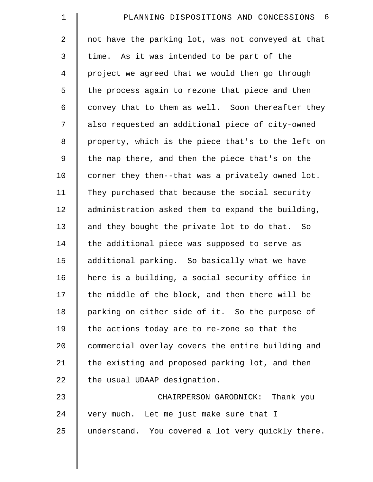| $\mathbf 1$ | PLANNING DISPOSITIONS AND CONCESSIONS 6            |
|-------------|----------------------------------------------------|
| 2           | not have the parking lot, was not conveyed at that |
| 3           | time. As it was intended to be part of the         |
| 4           | project we agreed that we would then go through    |
| 5           | the process again to rezone that piece and then    |
| 6           | convey that to them as well. Soon thereafter they  |
| 7           | also requested an additional piece of city-owned   |
| 8           | property, which is the piece that's to the left on |
| 9           | the map there, and then the piece that's on the    |
| 10          | corner they then--that was a privately owned lot.  |
| 11          | They purchased that because the social security    |
| 12          | administration asked them to expand the building,  |
| 13          | and they bought the private lot to do that. So     |
| 14          | the additional piece was supposed to serve as      |
| 15          | additional parking. So basically what we have      |
| 16          | here is a building, a social security office in    |
| 17          | the middle of the block, and then there will be    |
| 18          | parking on either side of it. So the purpose of    |
| 19          | the actions today are to re-zone so that the       |
| 20          | commercial overlay covers the entire building and  |
| 21          | the existing and proposed parking lot, and then    |
| 22          | the usual UDAAP designation.                       |
| 23          | CHAIRPERSON GARODNICK:<br>Thank you                |
| 24          | very much. Let me just make sure that I            |
| 25          | understand. You covered a lot very quickly there.  |
|             |                                                    |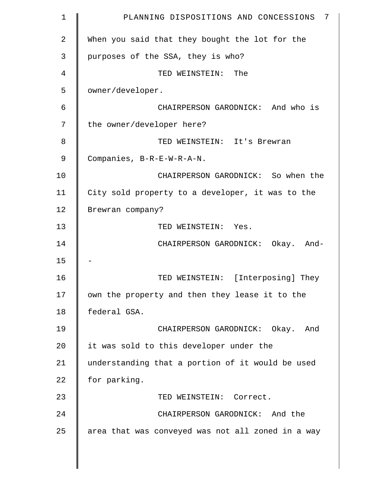| 1  | PLANNING DISPOSITIONS AND CONCESSIONS 7           |
|----|---------------------------------------------------|
| 2  | When you said that they bought the lot for the    |
| 3  | purposes of the SSA, they is who?                 |
| 4  | TED WEINSTEIN: The                                |
| 5  | owner/developer.                                  |
| 6  | CHAIRPERSON GARODNICK: And who is                 |
| 7  | the owner/developer here?                         |
| 8  | TED WEINSTEIN: It's Brewran                       |
| 9  | Companies, B-R-E-W-R-A-N.                         |
| 10 | CHAIRPERSON GARODNICK: So when the                |
| 11 | City sold property to a developer, it was to the  |
| 12 | Brewran company?                                  |
| 13 | TED WEINSTEIN: Yes.                               |
| 14 | CHAIRPERSON GARODNICK: Okay. And-                 |
| 15 |                                                   |
| 16 | TED WEINSTEIN: [Interposing] They                 |
| 17 | own the property and then they lease it to the    |
| 18 | federal GSA.                                      |
| 19 | CHAIRPERSON GARODNICK: Okay. And                  |
| 20 | it was sold to this developer under the           |
| 21 | understanding that a portion of it would be used  |
| 22 | for parking.                                      |
| 23 | TED WEINSTEIN: Correct.                           |
| 24 | CHAIRPERSON GARODNICK: And the                    |
| 25 | area that was conveyed was not all zoned in a way |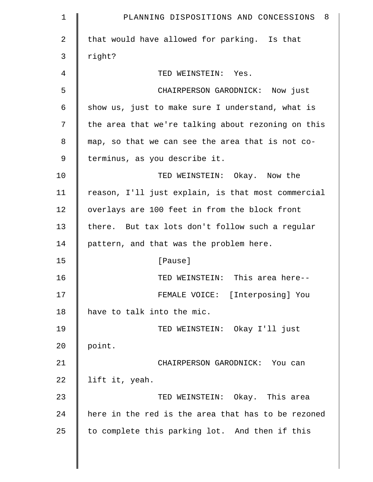| $\mathbf 1$    | PLANNING DISPOSITIONS AND CONCESSIONS 8            |
|----------------|----------------------------------------------------|
| $\overline{a}$ | that would have allowed for parking. Is that       |
| 3              | right?                                             |
| 4              | TED WEINSTEIN: Yes.                                |
| 5              | CHAIRPERSON GARODNICK: Now just                    |
| 6              | show us, just to make sure I understand, what is   |
| 7              | the area that we're talking about rezoning on this |
| 8              | map, so that we can see the area that is not co-   |
| 9              | terminus, as you describe it.                      |
| 10             | TED WEINSTEIN: Okay. Now the                       |
| 11             | reason, I'll just explain, is that most commercial |
| 12             | overlays are 100 feet in from the block front      |
| 13             | there. But tax lots don't follow such a regular    |
| 14             | pattern, and that was the problem here.            |
| 15             | [Pause]                                            |
| 16             | TED WEINSTEIN: This area here--                    |
| 17             | FEMALE VOICE: [Interposing] You                    |
| 18             | have to talk into the mic.                         |
| 19             | TED WEINSTEIN: Okay I'll just                      |
| 20             | point.                                             |
| 21             | CHAIRPERSON GARODNICK: You can                     |
| 22             | lift it, yeah.                                     |
| 23             | TED WEINSTEIN: Okay. This area                     |
| 24             | here in the red is the area that has to be rezoned |
| 25             | to complete this parking lot. And then if this     |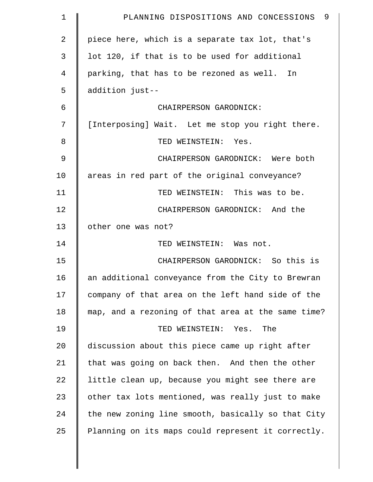| $\mathbf 1$   | - 9<br>PLANNING DISPOSITIONS AND CONCESSIONS       |
|---------------|----------------------------------------------------|
| 2             | piece here, which is a separate tax lot, that's    |
| 3             | lot 120, if that is to be used for additional      |
| 4             | parking, that has to be rezoned as well. In        |
| 5             | addition just--                                    |
| 6             | CHAIRPERSON GARODNICK:                             |
| 7             | [Interposing] Wait. Let me stop you right there.   |
| 8             | TED WEINSTEIN: Yes.                                |
| $\mathcal{G}$ | CHAIRPERSON GARODNICK: Were both                   |
| 10            | areas in red part of the original conveyance?      |
| 11            | TED WEINSTEIN: This was to be.                     |
| 12            | CHAIRPERSON GARODNICK: And the                     |
| 13            | other one was not?                                 |
| 14            | TED WEINSTEIN: Was not.                            |
| 15            | CHAIRPERSON GARODNICK: So this is                  |
| 16            | an additional conveyance from the City to Brewran  |
| 17            | company of that area on the left hand side of the  |
| 18            | map, and a rezoning of that area at the same time? |
| 19            | TED WEINSTEIN: Yes.<br>The                         |
| 20            | discussion about this piece came up right after    |
| 21            | that was going on back then. And then the other    |
| 22            | little clean up, because you might see there are   |
| 23            | other tax lots mentioned, was really just to make  |
| 24            | the new zoning line smooth, basically so that City |
| 25            | Planning on its maps could represent it correctly. |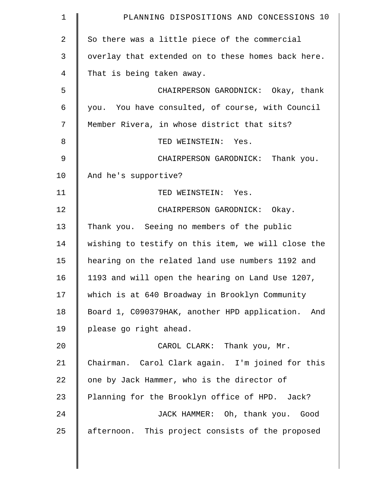| $\mathbf 1$    | PLANNING DISPOSITIONS AND CONCESSIONS 10             |
|----------------|------------------------------------------------------|
| $\overline{2}$ | So there was a little piece of the commercial        |
| 3              | overlay that extended on to these homes back here.   |
| 4              | That is being taken away.                            |
| 5              | CHAIRPERSON GARODNICK: Okay, thank                   |
| 6              | you. You have consulted, of course, with Council     |
| 7              | Member Rivera, in whose district that sits?          |
| 8              | TED WEINSTEIN: Yes.                                  |
| $\mathsf 9$    | CHAIRPERSON GARODNICK: Thank you.                    |
| 10             | And he's supportive?                                 |
| 11             | TED WEINSTEIN: Yes.                                  |
| 12             | CHAIRPERSON GARODNICK: Okay.                         |
| 13             | Thank you. Seeing no members of the public           |
| 14             | wishing to testify on this item, we will close the   |
| 15             | hearing on the related land use numbers 1192 and     |
| 16             | 1193 and will open the hearing on Land Use 1207,     |
| 17             | which is at 640 Broadway in Brooklyn Community       |
| 18             | Board 1, C090379HAK, another HPD application.<br>And |
| 19             | please go right ahead.                               |
| 20             | CAROL CLARK: Thank you, Mr.                          |
| 21             | Chairman. Carol Clark again. I'm joined for this     |
| 22             | one by Jack Hammer, who is the director of           |
| 23             | Planning for the Brooklyn office of HPD. Jack?       |
| 24             | JACK HAMMER: Oh, thank you. Good                     |
| 25             | afternoon. This project consists of the proposed     |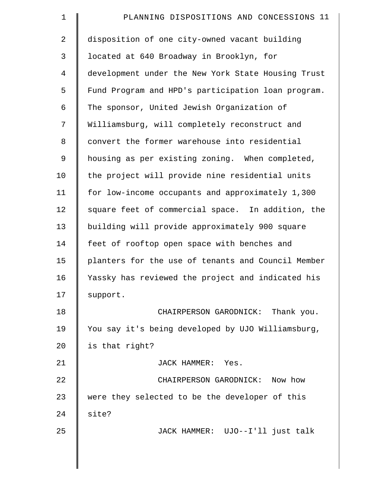| $\mathbf 1$    | PLANNING DISPOSITIONS AND CONCESSIONS 11           |
|----------------|----------------------------------------------------|
| $\overline{2}$ | disposition of one city-owned vacant building      |
| 3              | located at 640 Broadway in Brooklyn, for           |
| $\overline{4}$ | development under the New York State Housing Trust |
| 5              | Fund Program and HPD's participation loan program. |
| 6              | The sponsor, United Jewish Organization of         |
| 7              | Williamsburg, will completely reconstruct and      |
| 8              | convert the former warehouse into residential      |
| 9              | housing as per existing zoning. When completed,    |
| 10             | the project will provide nine residential units    |
| 11             | for low-income occupants and approximately 1,300   |
| 12             | square feet of commercial space. In addition, the  |
| 13             | building will provide approximately 900 square     |
| 14             | feet of rooftop open space with benches and        |
| 15             | planters for the use of tenants and Council Member |
| 16             | Yassky has reviewed the project and indicated his  |
| 17             | support.                                           |
| 18             | CHAIRPERSON GARODNICK: Thank you.                  |
| 19             | You say it's being developed by UJO Williamsburg,  |
| 20             | is that right?                                     |
| 21             | JACK HAMMER: Yes.                                  |
| 22             | CHAIRPERSON GARODNICK: Now how                     |
| 23             | were they selected to be the developer of this     |
| 24             | site?                                              |
| 25             | JACK HAMMER: UJO--I'll just talk                   |
|                |                                                    |
|                |                                                    |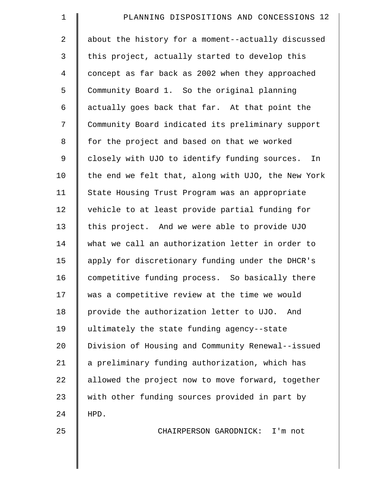| $\mathbf 1$    | PLANNING DISPOSITIONS AND CONCESSIONS 12            |
|----------------|-----------------------------------------------------|
| $\overline{2}$ | about the history for a moment--actually discussed  |
| $\mathsf{3}$   | this project, actually started to develop this      |
| $\overline{4}$ | concept as far back as 2002 when they approached    |
| 5              | Community Board 1. So the original planning         |
| 6              | actually goes back that far. At that point the      |
| 7              | Community Board indicated its preliminary support   |
| $\,8\,$        | for the project and based on that we worked         |
| $\mathsf 9$    | closely with UJO to identify funding sources.<br>In |
| 10             | the end we felt that, along with UJO, the New York  |
| 11             | State Housing Trust Program was an appropriate      |
| 12             | vehicle to at least provide partial funding for     |
| 13             | this project. And we were able to provide UJO       |
| 14             | what we call an authorization letter in order to    |
| 15             | apply for discretionary funding under the DHCR's    |
| 16             | competitive funding process. So basically there     |
| 17             | was a competitive review at the time we would       |
| 18             | provide the authorization letter to UJO.<br>And     |
| 19             | ultimately the state funding agency--state          |
| 20             | Division of Housing and Community Renewal--issued   |
| 21             | a preliminary funding authorization, which has      |
| 22             | allowed the project now to move forward, together   |
| 23             | with other funding sources provided in part by      |
| 24             | HPD.                                                |
| 25             | CHAIRPERSON GARODNICK: I'm not                      |
|                |                                                     |
|                |                                                     |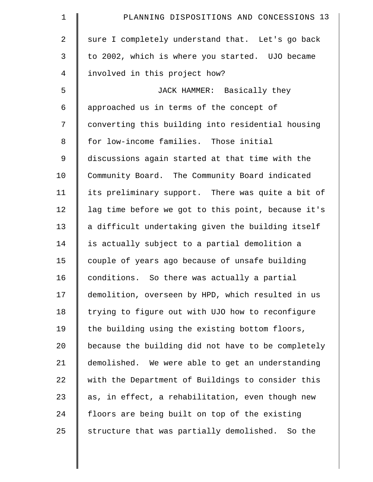| $\mathbf 1$    | PLANNING DISPOSITIONS AND CONCESSIONS 13           |
|----------------|----------------------------------------------------|
| $\overline{2}$ | sure I completely understand that. Let's go back   |
| 3              | to 2002, which is where you started. UJO became    |
| $\overline{4}$ | involved in this project how?                      |
| 5              | JACK HAMMER: Basically they                        |
| 6              | approached us in terms of the concept of           |
| 7              | converting this building into residential housing  |
| 8              | for low-income families. Those initial             |
| 9              | discussions again started at that time with the    |
| 10             | Community Board. The Community Board indicated     |
| 11             | its preliminary support. There was quite a bit of  |
| 12             | lag time before we got to this point, because it's |
| 13             | a difficult undertaking given the building itself  |
| 14             | is actually subject to a partial demolition a      |
| 15             | couple of years ago because of unsafe building     |
| 16             | conditions. So there was actually a partial        |
| 17             | demolition, overseen by HPD, which resulted in us  |
| 18             | trying to figure out with UJO how to reconfigure   |
| 19             | the building using the existing bottom floors,     |
| 20             | because the building did not have to be completely |
| 21             | demolished. We were able to get an understanding   |
| 22             | with the Department of Buildings to consider this  |
| 23             | as, in effect, a rehabilitation, even though new   |
| 24             | floors are being built on top of the existing      |
| 25             | structure that was partially demolished. So the    |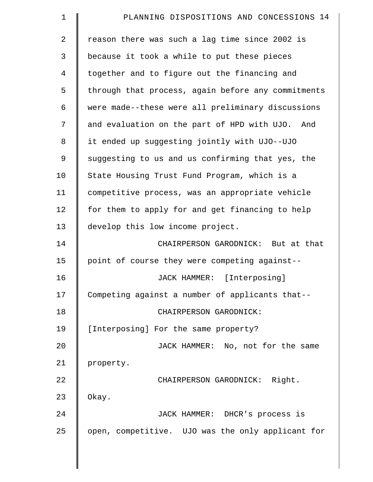| $\mathbf 1$    | PLANNING DISPOSITIONS AND CONCESSIONS 14           |
|----------------|----------------------------------------------------|
| $\overline{a}$ | reason there was such a lag time since 2002 is     |
| 3              | because it took a while to put these pieces        |
| 4              | together and to figure out the financing and       |
| 5              | through that process, again before any commitments |
| 6              | were made--these were all preliminary discussions  |
| 7              | and evaluation on the part of HPD with UJO. And    |
| 8              | it ended up suggesting jointly with UJO--UJO       |
| 9              | suggesting to us and us confirming that yes, the   |
| 10             | State Housing Trust Fund Program, which is a       |
| 11             | competitive process, was an appropriate vehicle    |
| 12             | for them to apply for and get financing to help    |
| 13             | develop this low income project.                   |
| 14             | CHAIRPERSON GARODNICK: But at that                 |
| 15             | point of course they were competing against--      |
| 16             | JACK HAMMER: [Interposing]                         |
| 17             | Competing against a number of applicants that--    |
| 18             | CHAIRPERSON GARODNICK:                             |
| 19             | [Interposing] For the same property?               |
| 20             | JACK HAMMER: No, not for the same                  |
| 21             | property.                                          |
| 22             | CHAIRPERSON GARODNICK: Right.                      |
| 23             | Okay.                                              |
| 24             | JACK HAMMER: DHCR's process is                     |
| 25             | open, competitive. UJO was the only applicant for  |

 $\parallel$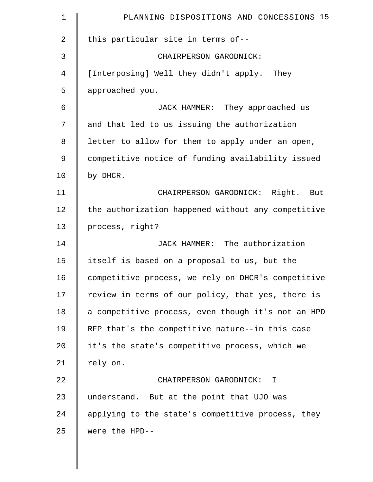| $\mathbf 1$ | PLANNING DISPOSITIONS AND CONCESSIONS 15           |
|-------------|----------------------------------------------------|
| 2           | this particular site in terms of--                 |
| 3           | CHAIRPERSON GARODNICK:                             |
| 4           | [Interposing] Well they didn't apply. They         |
| 5           | approached you.                                    |
| 6           | JACK HAMMER: They approached us                    |
| 7           | and that led to us issuing the authorization       |
| 8           | letter to allow for them to apply under an open,   |
| 9           | competitive notice of funding availability issued  |
| 10          | by DHCR.                                           |
| 11          | CHAIRPERSON GARODNICK: Right. But                  |
| 12          | the authorization happened without any competitive |
| 13          | process, right?                                    |
| 14          | JACK HAMMER: The authorization                     |
| 15          | itself is based on a proposal to us, but the       |
| 16          | competitive process, we rely on DHCR's competitive |
| 17          | review in terms of our policy, that yes, there is  |
| 18          | a competitive process, even though it's not an HPD |
| 19          | RFP that's the competitive nature--in this case    |
| 20          | it's the state's competitive process, which we     |
| 21          | rely on.                                           |
| 22          | CHAIRPERSON GARODNICK: I                           |
| 23          | understand. But at the point that UJO was          |
| 24          | applying to the state's competitive process, they  |
| 25          | were the HPD--                                     |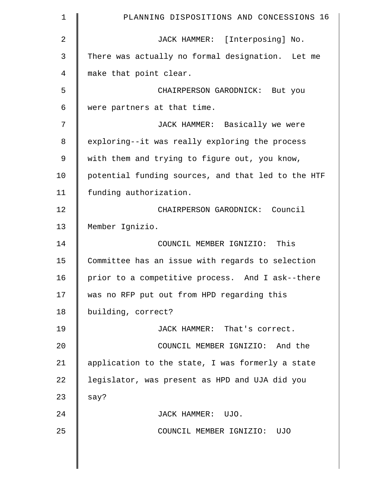| $\mathbf 1$ | PLANNING DISPOSITIONS AND CONCESSIONS 16           |
|-------------|----------------------------------------------------|
| 2           | JACK HAMMER: [Interposing] No.                     |
| 3           | There was actually no formal designation. Let me   |
| 4           | make that point clear.                             |
| 5           | CHAIRPERSON GARODNICK: But you                     |
| 6           | were partners at that time.                        |
| 7           | JACK HAMMER: Basically we were                     |
| 8           | exploring--it was really exploring the process     |
| 9           | with them and trying to figure out, you know,      |
| 10          | potential funding sources, and that led to the HTF |
| 11          | funding authorization.                             |
| 12          | CHAIRPERSON GARODNICK: Council                     |
| 13          | Member Ignizio.                                    |
| 14          | COUNCIL MEMBER IGNIZIO: This                       |
| 15          | Committee has an issue with regards to selection   |
| 16          | prior to a competitive process. And I ask--there   |
| 17          | was no RFP put out from HPD regarding this         |
| 18          | building, correct?                                 |
| 19          | JACK HAMMER: That's correct.                       |
| 20          | COUNCIL MEMBER IGNIZIO: And the                    |
| 21          | application to the state, I was formerly a state   |
| 22          | legislator, was present as HPD and UJA did you     |
| 23          | say?                                               |
| 24          | JACK HAMMER: UJO.                                  |
| 25          | COUNCIL MEMBER IGNIZIO: UJO                        |
|             |                                                    |
|             |                                                    |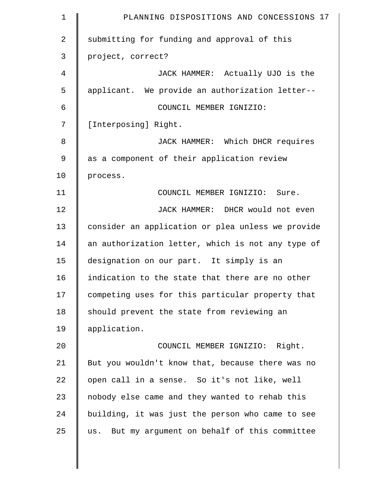| $\mathbf 1$    | PLANNING DISPOSITIONS AND CONCESSIONS 17          |
|----------------|---------------------------------------------------|
| $\overline{2}$ | submitting for funding and approval of this       |
| 3              | project, correct?                                 |
| 4              | JACK HAMMER: Actually UJO is the                  |
| 5              | applicant. We provide an authorization letter--   |
| 6              | COUNCIL MEMBER IGNIZIO:                           |
| 7              | [Interposing] Right.                              |
| 8              | JACK HAMMER: Which DHCR requires                  |
| 9              | as a component of their application review        |
| 10             | process.                                          |
| 11             | COUNCIL MEMBER IGNIZIO: Sure.                     |
| 12             | JACK HAMMER: DHCR would not even                  |
| 13             | consider an application or plea unless we provide |
| 14             | an authorization letter, which is not any type of |
| 15             | designation on our part. It simply is an          |
| 16             | indication to the state that there are no other   |
| 17             | competing uses for this particular property that  |
| 18             | should prevent the state from reviewing an        |
| 19             | application.                                      |
| 20             | COUNCIL MEMBER IGNIZIO: Right.                    |
| 21             | But you wouldn't know that, because there was no  |
| 22             | open call in a sense. So it's not like, well      |
| 23             | nobody else came and they wanted to rehab this    |
| 24             | building, it was just the person who came to see  |
| 25             | us. But my argument on behalf of this committee   |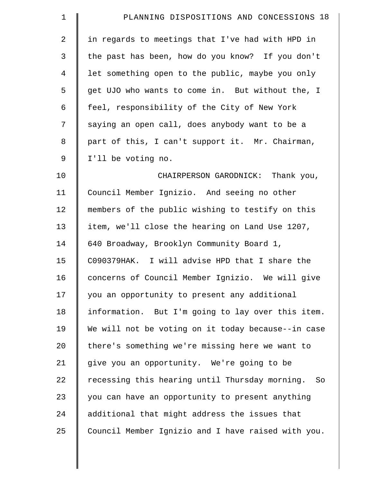| $\mathbf 1$    | PLANNING DISPOSITIONS AND CONCESSIONS 18             |
|----------------|------------------------------------------------------|
| $\overline{2}$ | in regards to meetings that I've had with HPD in     |
| 3              | the past has been, how do you know? If you don't     |
| $\overline{4}$ | let something open to the public, maybe you only     |
| 5              | get UJO who wants to come in. But without the, I     |
| 6              | feel, responsibility of the City of New York         |
| 7              | saying an open call, does anybody want to be a       |
| 8              | part of this, I can't support it. Mr. Chairman,      |
| 9              | I'll be voting no.                                   |
| 10             | CHAIRPERSON GARODNICK: Thank you,                    |
| 11             | Council Member Ignizio. And seeing no other          |
| 12             | members of the public wishing to testify on this     |
| 13             | item, we'll close the hearing on Land Use 1207,      |
| 14             | 640 Broadway, Brooklyn Community Board 1,            |
| 15             | C090379HAK. I will advise HPD that I share the       |
| 16             | concerns of Council Member Ignizio. We will give     |
| 17             | you an opportunity to present any additional         |
| 18             | information. But I'm going to lay over this item.    |
| 19             | We will not be voting on it today because--in case   |
| 20             | there's something we're missing here we want to      |
| 21             | give you an opportunity. We're going to be           |
| 22             | recessing this hearing until Thursday morning.<br>So |
| 23             | you can have an opportunity to present anything      |
| 24             | additional that might address the issues that        |
| 25             | Council Member Ignizio and I have raised with you.   |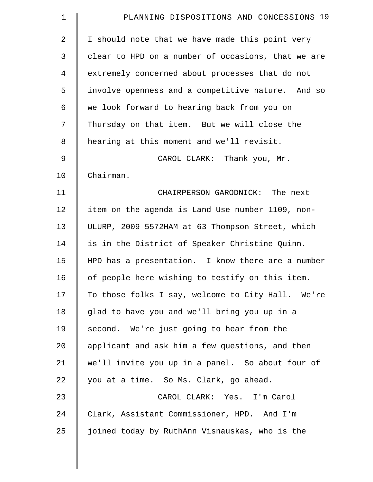| $\mathbf 1$    | PLANNING DISPOSITIONS AND CONCESSIONS 19           |
|----------------|----------------------------------------------------|
| $\overline{2}$ | I should note that we have made this point very    |
| 3              | clear to HPD on a number of occasions, that we are |
| 4              | extremely concerned about processes that do not    |
| 5              | involve openness and a competitive nature. And so  |
| 6              | we look forward to hearing back from you on        |
| 7              | Thursday on that item. But we will close the       |
| 8              | hearing at this moment and we'll revisit.          |
| $\mathsf 9$    | CAROL CLARK: Thank you, Mr.                        |
| 10             | Chairman.                                          |
| 11             | CHAIRPERSON GARODNICK: The next                    |
| 12             | item on the agenda is Land Use number 1109, non-   |
| 13             | ULURP, 2009 5572HAM at 63 Thompson Street, which   |
| 14             | is in the District of Speaker Christine Quinn.     |
| 15             | HPD has a presentation. I know there are a number  |
| 16             | of people here wishing to testify on this item.    |
| 17             | To those folks I say, welcome to City Hall. We're  |
| 18             | glad to have you and we'll bring you up in a       |
| 19             | second. We're just going to hear from the          |
| $20 \,$        | applicant and ask him a few questions, and then    |
| 21             | we'll invite you up in a panel. So about four of   |
| 22             | you at a time. So Ms. Clark, go ahead.             |
| 23             | CAROL CLARK: Yes. I'm Carol                        |
| 24             | Clark, Assistant Commissioner, HPD. And I'm        |
| 25             | joined today by RuthAnn Visnauskas, who is the     |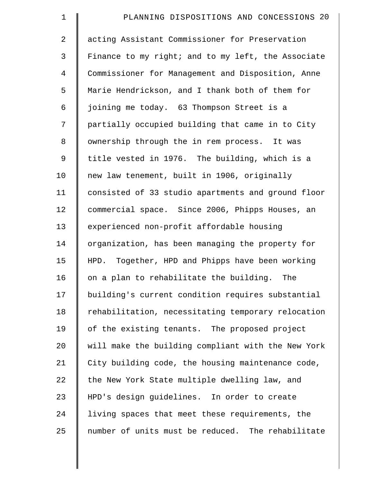| $\mathbf 1$    | PLANNING DISPOSITIONS AND CONCESSIONS 20           |
|----------------|----------------------------------------------------|
| $\overline{a}$ | acting Assistant Commissioner for Preservation     |
| 3              | Finance to my right; and to my left, the Associate |
| $\overline{4}$ | Commissioner for Management and Disposition, Anne  |
| 5              | Marie Hendrickson, and I thank both of them for    |
| 6              | joining me today. 63 Thompson Street is a          |
| 7              | partially occupied building that came in to City   |
| 8              | ownership through the in rem process. It was       |
| $\mathsf 9$    | title vested in 1976. The building, which is a     |
| 10             | new law tenement, built in 1906, originally        |
| 11             | consisted of 33 studio apartments and ground floor |
| 12             | commercial space. Since 2006, Phipps Houses, an    |
| 13             | experienced non-profit affordable housing          |
| 14             | organization, has been managing the property for   |
| 15             | HPD. Together, HPD and Phipps have been working    |
| 16             | on a plan to rehabilitate the building. The        |
| 17             | building's current condition requires substantial  |
| 18             | rehabilitation, necessitating temporary relocation |
| 19             | of the existing tenants. The proposed project      |
| 20             | will make the building compliant with the New York |
| 21             | City building code, the housing maintenance code,  |
| 22             | the New York State multiple dwelling law, and      |
| 23             | HPD's design guidelines. In order to create        |
| 24             | living spaces that meet these requirements, the    |
| 25             | number of units must be reduced. The rehabilitate  |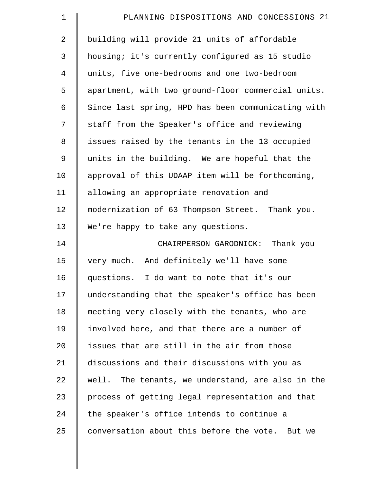| $\mathbf 1$    | PLANNING DISPOSITIONS AND CONCESSIONS 21           |
|----------------|----------------------------------------------------|
| $\overline{2}$ | building will provide 21 units of affordable       |
| 3              | housing; it's currently configured as 15 studio    |
| 4              | units, five one-bedrooms and one two-bedroom       |
| 5              | apartment, with two ground-floor commercial units. |
| 6              | Since last spring, HPD has been communicating with |
| 7              | staff from the Speaker's office and reviewing      |
| 8              | issues raised by the tenants in the 13 occupied    |
| 9              | units in the building. We are hopeful that the     |
| 10             | approval of this UDAAP item will be forthcoming,   |
| 11             | allowing an appropriate renovation and             |
| 12             | modernization of 63 Thompson Street. Thank you.    |
| 13             | We're happy to take any questions.                 |
| 14             | CHAIRPERSON GARODNICK: Thank you                   |
| 15             | very much. And definitely we'll have some          |
| 16             | questions. I do want to note that it's our         |
| 17             | understanding that the speaker's office has been   |
| 18             | meeting very closely with the tenants, who are     |
| 19             | involved here, and that there are a number of      |
| 20             | issues that are still in the air from those        |
| 21             | discussions and their discussions with you as      |
| 22             | well. The tenants, we understand, are also in the  |
| 23             | process of getting legal representation and that   |
| 24             | the speaker's office intends to continue a         |
| 25             | conversation about this before the vote. But we    |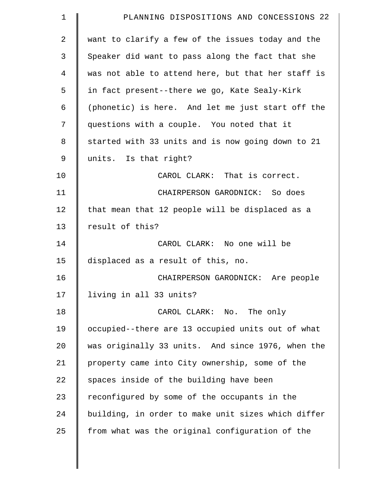| 1              | PLANNING DISPOSITIONS AND CONCESSIONS 22           |
|----------------|----------------------------------------------------|
| $\overline{a}$ | want to clarify a few of the issues today and the  |
| 3              | Speaker did want to pass along the fact that she   |
| 4              | was not able to attend here, but that her staff is |
| 5              | in fact present--there we go, Kate Sealy-Kirk      |
| 6              | (phonetic) is here. And let me just start off the  |
| 7              | questions with a couple. You noted that it         |
| 8              | started with 33 units and is now going down to 21  |
| $\mathsf 9$    | units. Is that right?                              |
| 10             | CAROL CLARK: That is correct.                      |
| 11             | CHAIRPERSON GARODNICK: So does                     |
| 12             | that mean that 12 people will be displaced as a    |
| 13             | result of this?                                    |
| 14             | CAROL CLARK: No one will be                        |
| 15             | displaced as a result of this, no.                 |
| 16             | CHAIRPERSON GARODNICK: Are people                  |
| 17             | living in all 33 units?                            |
| 18             | CAROL CLARK: No. The only                          |
| 19             | occupied--there are 13 occupied units out of what  |
| 20             | was originally 33 units. And since 1976, when the  |
| 21             | property came into City ownership, some of the     |
| 22             | spaces inside of the building have been            |
| 23             | reconfigured by some of the occupants in the       |
| 24             | building, in order to make unit sizes which differ |
| 25             | from what was the original configuration of the    |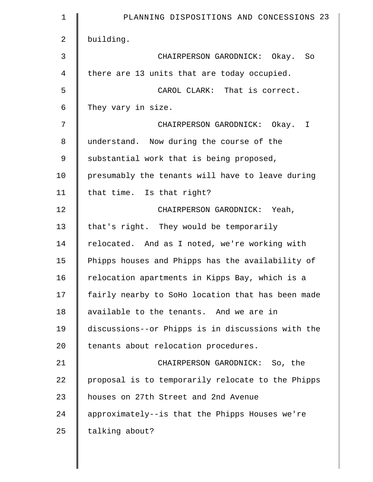| $\mathbf 1$ | PLANNING DISPOSITIONS AND CONCESSIONS 23          |
|-------------|---------------------------------------------------|
| 2           | building.                                         |
| 3           | CHAIRPERSON GARODNICK: Okay. So                   |
| 4           | there are 13 units that are today occupied.       |
| 5           | CAROL CLARK: That is correct.                     |
| 6           | They vary in size.                                |
| 7           | CHAIRPERSON GARODNICK: Okay. I                    |
| 8           | understand. Now during the course of the          |
| $\mathsf 9$ | substantial work that is being proposed,          |
| 10          | presumably the tenants will have to leave during  |
| 11          | that time. Is that right?                         |
| 12          | CHAIRPERSON GARODNICK: Yeah,                      |
| 13          | that's right. They would be temporarily           |
| 14          | relocated. And as I noted, we're working with     |
| 15          | Phipps houses and Phipps has the availability of  |
| 16          | relocation apartments in Kipps Bay, which is a    |
| 17          | fairly nearby to SoHo location that has been made |
| 18          | available to the tenants. And we are in           |
| 19          | discussions--or Phipps is in discussions with the |
| 20          | tenants about relocation procedures.              |
| 21          | CHAIRPERSON GARODNICK: So, the                    |
| 22          | proposal is to temporarily relocate to the Phipps |
| 23          | houses on 27th Street and 2nd Avenue              |
| 24          | approximately--is that the Phipps Houses we're    |
| 25          | talking about?                                    |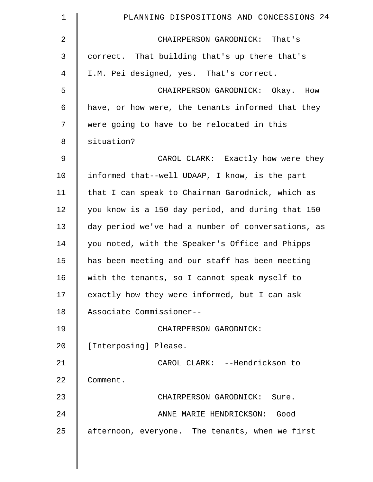| $\mathbf 1$    | PLANNING DISPOSITIONS AND CONCESSIONS 24           |
|----------------|----------------------------------------------------|
| $\overline{2}$ | CHAIRPERSON GARODNICK: That's                      |
| 3              | correct. That building that's up there that's      |
| 4              | I.M. Pei designed, yes. That's correct.            |
| 5              | CHAIRPERSON GARODNICK: Okay. How                   |
| 6              | have, or how were, the tenants informed that they  |
| 7              | were going to have to be relocated in this         |
| 8              | situation?                                         |
| $\mathsf 9$    | CAROL CLARK: Exactly how were they                 |
| 10             | informed that--well UDAAP, I know, is the part     |
| 11             | that I can speak to Chairman Garodnick, which as   |
| 12             | you know is a 150 day period, and during that 150  |
| 13             | day period we've had a number of conversations, as |
| 14             | you noted, with the Speaker's Office and Phipps    |
| 15             | has been meeting and our staff has been meeting    |
| 16             | with the tenants, so I cannot speak myself to      |
| 17             | exactly how they were informed, but I can ask      |
| 18             | Associate Commissioner--                           |
| 19             | CHAIRPERSON GARODNICK:                             |
| 20             | [Interposing] Please.                              |
| 21             | CAROL CLARK: --Hendrickson to                      |
| 22             | Comment.                                           |
| 23             | CHAIRPERSON GARODNICK: Sure.                       |
| 24             | ANNE MARIE HENDRICKSON: Good                       |
| 25             | afternoon, everyone. The tenants, when we first    |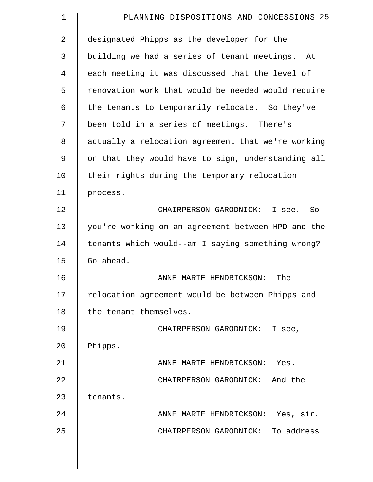| 1  | PLANNING DISPOSITIONS AND CONCESSIONS 25           |
|----|----------------------------------------------------|
| 2  | designated Phipps as the developer for the         |
| 3  | building we had a series of tenant meetings. At    |
| 4  | each meeting it was discussed that the level of    |
| 5  | renovation work that would be needed would require |
| 6  | the tenants to temporarily relocate. So they've    |
| 7  | been told in a series of meetings. There's         |
| 8  | actually a relocation agreement that we're working |
| 9  | on that they would have to sign, understanding all |
| 10 | their rights during the temporary relocation       |
| 11 | process.                                           |
| 12 | CHAIRPERSON GARODNICK: I see.<br>So                |
| 13 | you're working on an agreement between HPD and the |
| 14 | tenants which would--am I saying something wrong?  |
| 15 | Go ahead.                                          |
| 16 | ANNE MARIE HENDRICKSON:<br>The                     |
| 17 | relocation agreement would be between Phipps and   |
| 18 | the tenant themselves.                             |
| 19 | CHAIRPERSON GARODNICK: I see,                      |
| 20 | Phipps.                                            |
| 21 | ANNE MARIE HENDRICKSON: Yes.                       |
| 22 | CHAIRPERSON GARODNICK: And the                     |
| 23 | tenants.                                           |
| 24 | ANNE MARIE HENDRICKSON: Yes, sir.                  |
| 25 | CHAIRPERSON GARODNICK: To address                  |
|    |                                                    |
|    |                                                    |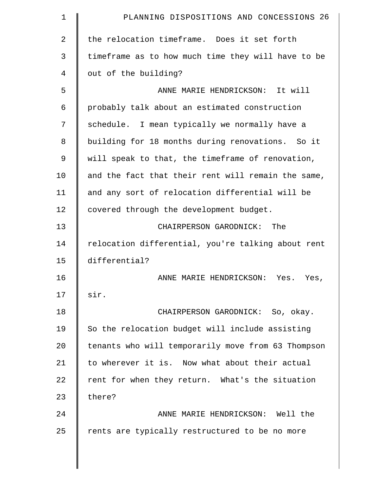| $\mathbf 1$    | PLANNING DISPOSITIONS AND CONCESSIONS 26           |
|----------------|----------------------------------------------------|
| $\overline{a}$ | the relocation timeframe. Does it set forth        |
| 3              | timeframe as to how much time they will have to be |
| 4              | out of the building?                               |
| 5              | ANNE MARIE HENDRICKSON: It will                    |
| 6              | probably talk about an estimated construction      |
| 7              | schedule. I mean typically we normally have a      |
| 8              | building for 18 months during renovations. So it   |
| 9              | will speak to that, the timeframe of renovation,   |
| 10             | and the fact that their rent will remain the same, |
| 11             | and any sort of relocation differential will be    |
| 12             | covered through the development budget.            |
| 13             | CHAIRPERSON GARODNICK: The                         |
| 14             | relocation differential, you're talking about rent |
| 15             | differential?                                      |
| 16             | ANNE MARIE HENDRICKSON: Yes. Yes,                  |
| 17             | sir.                                               |
| 18             | CHAIRPERSON GARODNICK: So, okay.                   |
| 19             | So the relocation budget will include assisting    |
| 20             | tenants who will temporarily move from 63 Thompson |
| 21             | to wherever it is. Now what about their actual     |
| 22             | rent for when they return. What's the situation    |
| 23             | there?                                             |
| 24             | ANNE MARIE HENDRICKSON: Well the                   |
| 25             | rents are typically restructured to be no more     |
|                |                                                    |

 $\parallel$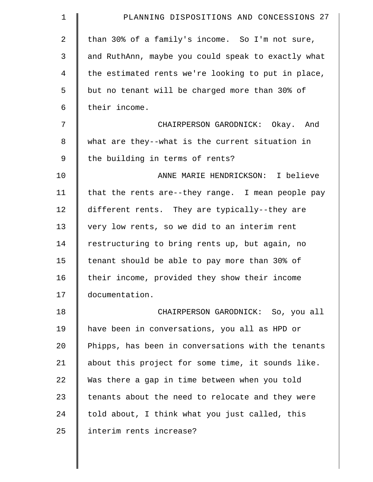| $\mathbf 1$    | PLANNING DISPOSITIONS AND CONCESSIONS 27           |
|----------------|----------------------------------------------------|
| $\overline{2}$ | than 30% of a family's income. So I'm not sure,    |
| 3              | and RuthAnn, maybe you could speak to exactly what |
| 4              | the estimated rents we're looking to put in place, |
| 5              | but no tenant will be charged more than 30% of     |
| 6              | their income.                                      |
| 7              | CHAIRPERSON GARODNICK: Okay. And                   |
| 8              | what are they--what is the current situation in    |
| 9              | the building in terms of rents?                    |
| 10             | ANNE MARIE HENDRICKSON: I believe                  |
| 11             | that the rents are--they range. I mean people pay  |
| 12             | different rents. They are typically--they are      |
| 13             | very low rents, so we did to an interim rent       |
| 14             | restructuring to bring rents up, but again, no     |
| 15             | tenant should be able to pay more than 30% of      |
| 16             | their income, provided they show their income      |
| 17             | documentation.                                     |
| 18             | CHAIRPERSON GARODNICK: So, you all                 |
| 19             | have been in conversations, you all as HPD or      |
| 20             | Phipps, has been in conversations with the tenants |
| 21             | about this project for some time, it sounds like.  |
| 22             | Was there a gap in time between when you told      |
| 23             | tenants about the need to relocate and they were   |
| 24             | told about, I think what you just called, this     |
| 25             | interim rents increase?                            |
|                |                                                    |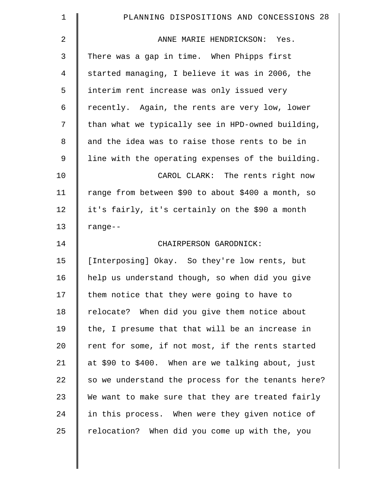| $\mathbf 1$ | PLANNING DISPOSITIONS AND CONCESSIONS 28           |
|-------------|----------------------------------------------------|
| 2           | ANNE MARIE HENDRICKSON: Yes.                       |
| 3           | There was a gap in time. When Phipps first         |
| 4           | started managing, I believe it was in 2006, the    |
| 5           | interim rent increase was only issued very         |
| 6           | recently. Again, the rents are very low, lower     |
| 7           | than what we typically see in HPD-owned building,  |
| 8           | and the idea was to raise those rents to be in     |
| 9           | line with the operating expenses of the building.  |
| 10          | CAROL CLARK: The rents right now                   |
| 11          | range from between \$90 to about \$400 a month, so |
| 12          | it's fairly, it's certainly on the \$90 a month    |
| 13          | $range--$                                          |
| 14          | CHAIRPERSON GARODNICK:                             |
| 15          | [Interposing] Okay. So they're low rents, but      |
| 16          | help us understand though, so when did you give    |
| 17          | them notice that they were going to have to        |
| 18          | relocate? When did you give them notice about      |
| 19          | the, I presume that that will be an increase in    |
| 20          | rent for some, if not most, if the rents started   |
| 21          | at \$90 to \$400. When are we talking about, just  |
| 22          | so we understand the process for the tenants here? |
| 23          | We want to make sure that they are treated fairly  |
| 24          | in this process. When were they given notice of    |
| 25          | relocation? When did you come up with the, you     |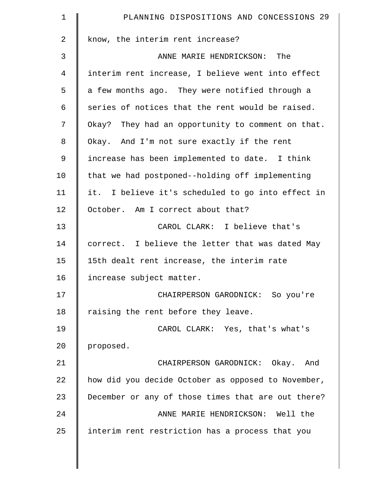| $\mathbf 1$    | PLANNING DISPOSITIONS AND CONCESSIONS 29           |
|----------------|----------------------------------------------------|
| $\overline{a}$ | know, the interim rent increase?                   |
| 3              | ANNE MARIE HENDRICKSON: The                        |
| 4              | interim rent increase, I believe went into effect  |
| 5              | a few months ago. They were notified through a     |
| 6              | series of notices that the rent would be raised.   |
| 7              | Okay? They had an opportunity to comment on that.  |
| 8              | Okay. And I'm not sure exactly if the rent         |
| $\mathsf 9$    | increase has been implemented to date. I think     |
| 10             | that we had postponed--holding off implementing    |
| 11             | it. I believe it's scheduled to go into effect in  |
| 12             | October. Am I correct about that?                  |
| 13             | CAROL CLARK: I believe that's                      |
| 14             | correct. I believe the letter that was dated May   |
| 15             | 15th dealt rent increase, the interim rate         |
| 16             | increase subject matter.                           |
| 17             | CHAIRPERSON GARODNICK: So you're                   |
| 18             | raising the rent before they leave.                |
| 19             | CAROL CLARK: Yes, that's what's                    |
| 20             | proposed.                                          |
| 21             | CHAIRPERSON GARODNICK: Okay. And                   |
| 22             | how did you decide October as opposed to November, |
| 23             | December or any of those times that are out there? |
| 24             | ANNE MARIE HENDRICKSON: Well the                   |
| 25             | interim rent restriction has a process that you    |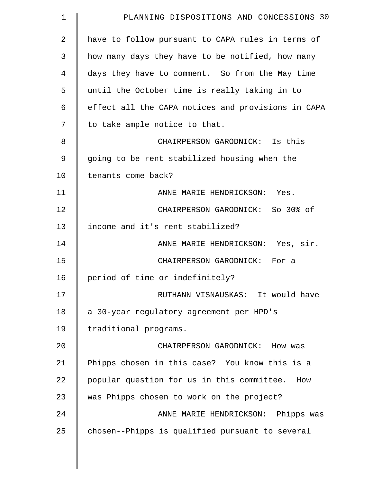| $\mathbf 1$    | PLANNING DISPOSITIONS AND CONCESSIONS 30           |
|----------------|----------------------------------------------------|
| $\overline{2}$ | have to follow pursuant to CAPA rules in terms of  |
| 3              | how many days they have to be notified, how many   |
| 4              | days they have to comment. So from the May time    |
| 5              | until the October time is really taking in to      |
| 6              | effect all the CAPA notices and provisions in CAPA |
| 7              | to take ample notice to that.                      |
| 8              | CHAIRPERSON GARODNICK: Is this                     |
| 9              | going to be rent stabilized housing when the       |
| 10             | tenants come back?                                 |
| 11             | ANNE MARIE HENDRICKSON: Yes.                       |
| 12             | CHAIRPERSON GARODNICK: So 30% of                   |
| 13             | income and it's rent stabilized?                   |
| 14             | ANNE MARIE HENDRICKSON: Yes, sir.                  |
| 15             | CHAIRPERSON GARODNICK: For a                       |
| 16             | period of time or indefinitely?                    |
| 17             | RUTHANN VISNAUSKAS: It would have                  |
| 18             | a 30-year regulatory agreement per HPD's           |
| 19             | traditional programs.                              |
| 20             | CHAIRPERSON GARODNICK: How was                     |
| 21             | Phipps chosen in this case? You know this is a     |
| 22             | popular question for us in this committee. How     |
| 23             | was Phipps chosen to work on the project?          |
| 24             | ANNE MARIE HENDRICKSON: Phipps was                 |
| 25             | chosen--Phipps is qualified pursuant to several    |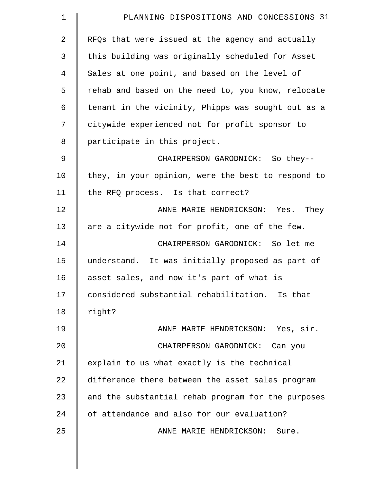| $\mathbf 1$ | PLANNING DISPOSITIONS AND CONCESSIONS 31           |
|-------------|----------------------------------------------------|
| 2           | RFQs that were issued at the agency and actually   |
| 3           | this building was originally scheduled for Asset   |
| 4           | Sales at one point, and based on the level of      |
| 5           | rehab and based on the need to, you know, relocate |
| 6           | tenant in the vicinity, Phipps was sought out as a |
| 7           | citywide experienced not for profit sponsor to     |
| 8           | participate in this project.                       |
| 9           | CHAIRPERSON GARODNICK: So they--                   |
| 10          | they, in your opinion, were the best to respond to |
| 11          | the RFQ process. Is that correct?                  |
| 12          | ANNE MARIE HENDRICKSON: Yes. They                  |
| 13          | are a citywide not for profit, one of the few.     |
| 14          | CHAIRPERSON GARODNICK: So let me                   |
| 15          | understand. It was initially proposed as part of   |
| 16          | asset sales, and now it's part of what is          |
| 17          | considered substantial rehabilitation. Is that     |
| 18          | right?                                             |
| 19          | ANNE MARIE HENDRICKSON: Yes, sir.                  |
| 20          | CHAIRPERSON GARODNICK: Can you                     |
| 21          | explain to us what exactly is the technical        |
| 22          | difference there between the asset sales program   |
| 23          | and the substantial rehab program for the purposes |
| 24          | of attendance and also for our evaluation?         |
| 25          | ANNE MARIE HENDRICKSON:<br>Sure.                   |
|             |                                                    |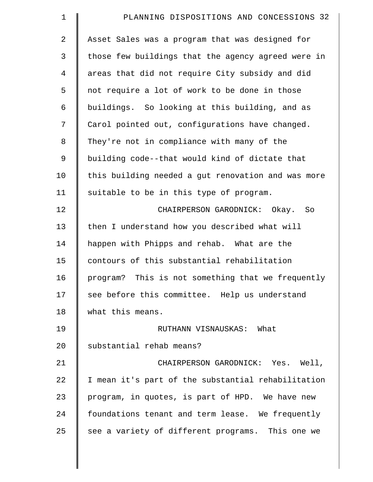| 1              | PLANNING DISPOSITIONS AND CONCESSIONS 32           |
|----------------|----------------------------------------------------|
| 2              | Asset Sales was a program that was designed for    |
| 3              | those few buildings that the agency agreed were in |
| $\overline{4}$ | areas that did not require City subsidy and did    |
| 5              | not require a lot of work to be done in those      |
| 6              | buildings. So looking at this building, and as     |
| 7              | Carol pointed out, configurations have changed.    |
| 8              | They're not in compliance with many of the         |
| $\mathsf 9$    | building code--that would kind of dictate that     |
| 10             | this building needed a gut renovation and was more |
| 11             | suitable to be in this type of program.            |
| 12             | CHAIRPERSON GARODNICK: Okay.<br>So                 |
| 13             | then I understand how you described what will      |
| 14             | happen with Phipps and rehab. What are the         |
| 15             | contours of this substantial rehabilitation        |
| 16             | program? This is not something that we frequently  |
| 17             | see before this committee. Help us understand      |
| 18             | what this means.                                   |
| 19             | RUTHANN VISNAUSKAS: What                           |
| 20             | substantial rehab means?                           |
| 21             | CHAIRPERSON GARODNICK: Yes. Well,                  |
| 22             | I mean it's part of the substantial rehabilitation |
| 23             | program, in quotes, is part of HPD. We have new    |
| 24             | foundations tenant and term lease. We frequently   |
| 25             | see a variety of different programs. This one we   |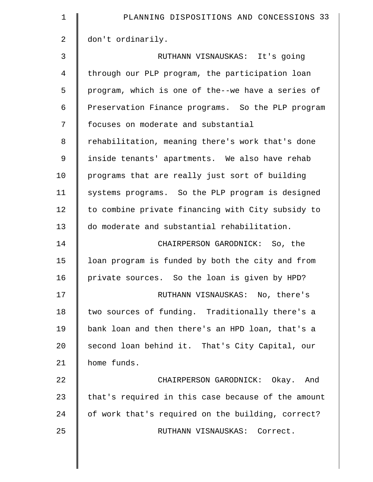| $\mathbf 1$    | PLANNING DISPOSITIONS AND CONCESSIONS 33           |
|----------------|----------------------------------------------------|
| 2              | don't ordinarily.                                  |
| 3              | RUTHANN VISNAUSKAS: It's going                     |
| $\overline{4}$ | through our PLP program, the participation loan    |
| 5              | program, which is one of the--we have a series of  |
| 6              | Preservation Finance programs. So the PLP program  |
| 7              | focuses on moderate and substantial                |
| 8              | rehabilitation, meaning there's work that's done   |
| 9              | inside tenants' apartments. We also have rehab     |
| 10             | programs that are really just sort of building     |
| 11             | systems programs. So the PLP program is designed   |
| 12             | to combine private financing with City subsidy to  |
| 13             | do moderate and substantial rehabilitation.        |
| 14             | CHAIRPERSON GARODNICK: So, the                     |
| 15             | loan program is funded by both the city and from   |
| 16             | private sources. So the loan is given by HPD?      |
| 17             | RUTHANN VISNAUSKAS: No, there's                    |
| 18             | two sources of funding. Traditionally there's a    |
| 19             | bank loan and then there's an HPD loan, that's a   |
| 20             | second loan behind it. That's City Capital, our    |
| 21             | home funds.                                        |
| 22             | CHAIRPERSON GARODNICK: Okay. And                   |
| 23             | that's required in this case because of the amount |
| 24             | of work that's required on the building, correct?  |
| 25             | RUTHANN VISNAUSKAS: Correct.                       |
|                |                                                    |
|                |                                                    |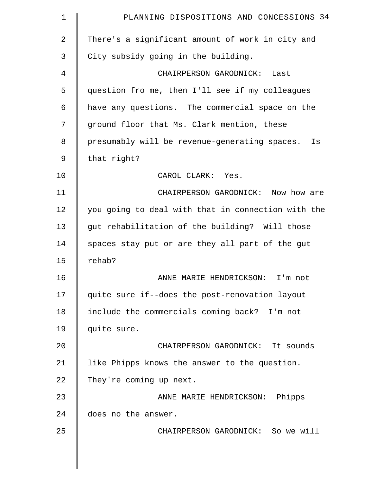| $\mathbf 1$    | PLANNING DISPOSITIONS AND CONCESSIONS 34            |
|----------------|-----------------------------------------------------|
| $\overline{2}$ | There's a significant amount of work in city and    |
| 3              | City subsidy going in the building.                 |
| 4              | CHAIRPERSON GARODNICK: Last                         |
| 5              | question fro me, then I'll see if my colleagues     |
| 6              | have any questions. The commercial space on the     |
| 7              | ground floor that Ms. Clark mention, these          |
| 8              | presumably will be revenue-generating spaces.<br>Is |
| $\mathsf 9$    | that right?                                         |
| 10             | CAROL CLARK: Yes.                                   |
| 11             | CHAIRPERSON GARODNICK: Now how are                  |
| 12             | you going to deal with that in connection with the  |
| 13             | gut rehabilitation of the building? Will those      |
| 14             | spaces stay put or are they all part of the gut     |
| 15             | rehab?                                              |
| 16             | ANNE MARIE HENDRICKSON: I'm not                     |
| 17             | quite sure if--does the post-renovation layout      |
| 18             | include the commercials coming back? I'm not        |
| 19             | quite sure.                                         |
| 20             | CHAIRPERSON GARODNICK: It sounds                    |
| 21             | like Phipps knows the answer to the question.       |
| 22             | They're coming up next.                             |
| 23             | ANNE MARIE HENDRICKSON: Phipps                      |
| 24             | does no the answer.                                 |
| 25             | CHAIRPERSON GARODNICK: So we will                   |
|                |                                                     |
|                |                                                     |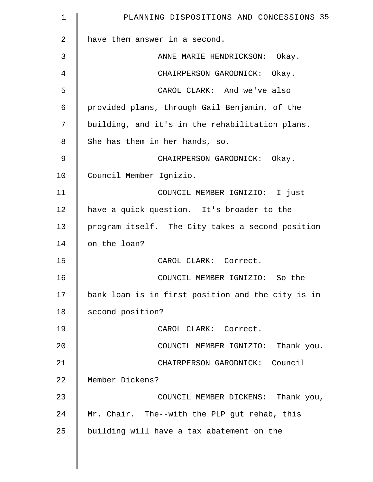| 1              | PLANNING DISPOSITIONS AND CONCESSIONS 35          |
|----------------|---------------------------------------------------|
| $\overline{a}$ | have them answer in a second.                     |
| 3              | ANNE MARIE HENDRICKSON: Okay.                     |
| 4              | CHAIRPERSON GARODNICK: Okay.                      |
| 5              | CAROL CLARK: And we've also                       |
| 6              | provided plans, through Gail Benjamin, of the     |
| 7              | building, and it's in the rehabilitation plans.   |
| 8              | She has them in her hands, so.                    |
| $\mathcal{G}$  | CHAIRPERSON GARODNICK: Okay.                      |
| 10             | Council Member Ignizio.                           |
| 11             | COUNCIL MEMBER IGNIZIO: I just                    |
| 12             | have a quick question. It's broader to the        |
| 13             | program itself. The City takes a second position  |
| 14             | on the loan?                                      |
| 15             | CAROL CLARK: Correct.                             |
| 16             | COUNCIL MEMBER IGNIZIO: So the                    |
| 17             | bank loan is in first position and the city is in |
| 18             | second position?                                  |
| 19             | CAROL CLARK: Correct.                             |
| 20             | COUNCIL MEMBER IGNIZIO: Thank you.                |
| 21             | CHAIRPERSON GARODNICK: Council                    |
| 22             | Member Dickens?                                   |
| 23             | COUNCIL MEMBER DICKENS: Thank you,                |
| 24             | Mr. Chair. The--with the PLP gut rehab, this      |
| 25             | building will have a tax abatement on the         |
|                |                                                   |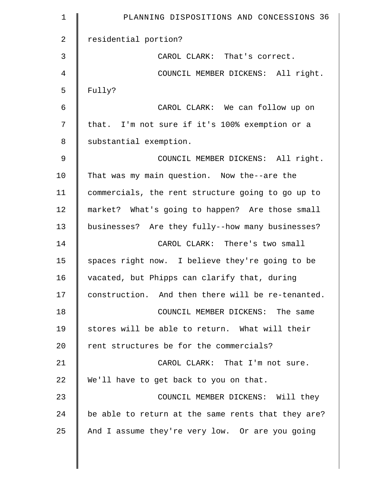| $\mathbf 1$    | PLANNING DISPOSITIONS AND CONCESSIONS 36           |
|----------------|----------------------------------------------------|
| $\overline{2}$ | residential portion?                               |
| 3              | CAROL CLARK: That's correct.                       |
| 4              | COUNCIL MEMBER DICKENS: All right.                 |
| 5              | Fully?                                             |
| 6              | CAROL CLARK: We can follow up on                   |
| 7              | that. I'm not sure if it's 100% exemption or a     |
| 8              | substantial exemption.                             |
| $\mathsf 9$    | COUNCIL MEMBER DICKENS: All right.                 |
| 10             | That was my main question. Now the--are the        |
| 11             | commercials, the rent structure going to go up to  |
| 12             | market? What's going to happen? Are those small    |
| 13             | businesses? Are they fully--how many businesses?   |
| 14             | CAROL CLARK: There's two small                     |
| 15             | spaces right now. I believe they're going to be    |
| 16             | vacated, but Phipps can clarify that, during       |
| 17             | construction. And then there will be re-tenanted.  |
| 18             | COUNCIL MEMBER DICKENS: The same                   |
| 19             | stores will be able to return. What will their     |
| 20             | rent structures be for the commercials?            |
| 21             | CAROL CLARK: That I'm not sure.                    |
| 22             | We'll have to get back to you on that.             |
| 23             | COUNCIL MEMBER DICKENS: Will they                  |
| 24             | be able to return at the same rents that they are? |
| 25             | And I assume they're very low. Or are you going    |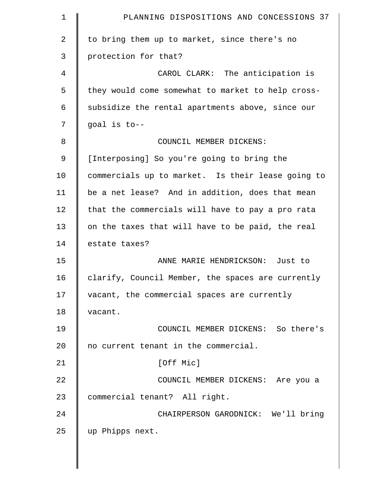| $\mathbf 1$    | PLANNING DISPOSITIONS AND CONCESSIONS 37          |
|----------------|---------------------------------------------------|
| $\overline{2}$ | to bring them up to market, since there's no      |
| 3              | protection for that?                              |
| 4              | CAROL CLARK: The anticipation is                  |
| 5              | they would come somewhat to market to help cross- |
| 6              | subsidize the rental apartments above, since our  |
| 7              | goal is to--                                      |
| 8              | COUNCIL MEMBER DICKENS:                           |
| 9              | [Interposing] So you're going to bring the        |
| 10             | commercials up to market. Is their lease going to |
| 11             | be a net lease? And in addition, does that mean   |
| 12             | that the commercials will have to pay a pro rata  |
| 13             | on the taxes that will have to be paid, the real  |
| 14             | estate taxes?                                     |
| 15             | ANNE MARIE HENDRICKSON: Just to                   |
| 16             | clarify, Council Member, the spaces are currently |
| 17             | vacant, the commercial spaces are currently       |
| 18             | vacant.                                           |
| 19             | COUNCIL MEMBER DICKENS: So there's                |
| 20             | no current tenant in the commercial.              |
| 21             | [Off Mic]                                         |
| 22             | COUNCIL MEMBER DICKENS: Are you a                 |
| 23             | commercial tenant? All right.                     |
| 24             | CHAIRPERSON GARODNICK: We'll bring                |
| 25             | up Phipps next.                                   |
|                |                                                   |

║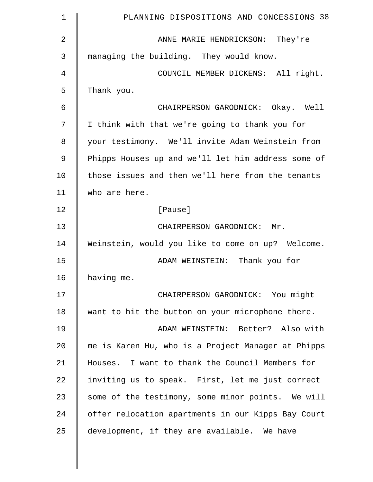| $\mathbf 1$ | PLANNING DISPOSITIONS AND CONCESSIONS 38           |
|-------------|----------------------------------------------------|
| 2           | ANNE MARIE HENDRICKSON: They're                    |
| 3           | managing the building. They would know.            |
| 4           | COUNCIL MEMBER DICKENS: All right.                 |
| 5           | Thank you.                                         |
| 6           | CHAIRPERSON GARODNICK: Okay. Well                  |
| 7           | I think with that we're going to thank you for     |
| 8           | your testimony. We'll invite Adam Weinstein from   |
| 9           | Phipps Houses up and we'll let him address some of |
| 10          | those issues and then we'll here from the tenants  |
| 11          | who are here.                                      |
| 12          | [Pause]                                            |
| 13          | CHAIRPERSON GARODNICK: Mr.                         |
| 14          | Weinstein, would you like to come on up? Welcome.  |
| 15          | ADAM WEINSTEIN: Thank you for                      |
| 16          | having me.                                         |
| 17          | CHAIRPERSON GARODNICK: You might                   |
| 18          | want to hit the button on your microphone there.   |
| 19          | ADAM WEINSTEIN: Better? Also with                  |
| 20          | me is Karen Hu, who is a Project Manager at Phipps |
| 21          | Houses. I want to thank the Council Members for    |
| 22          | inviting us to speak. First, let me just correct   |
| 23          | some of the testimony, some minor points. We will  |
| 24          | offer relocation apartments in our Kipps Bay Court |
| 25          | development, if they are available. We have        |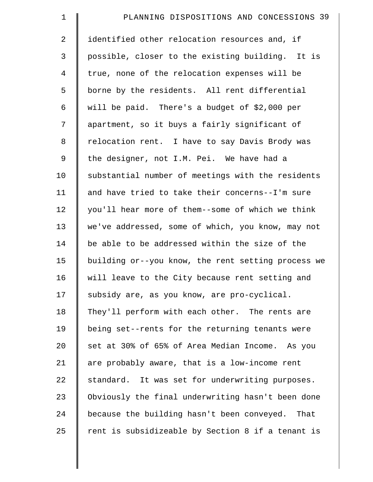| $\mathbf 1$    | PLANNING DISPOSITIONS AND CONCESSIONS 39           |
|----------------|----------------------------------------------------|
| $\overline{a}$ | identified other relocation resources and, if      |
| 3              | possible, closer to the existing building. It is   |
| $\overline{4}$ | true, none of the relocation expenses will be      |
| 5              | borne by the residents. All rent differential      |
| 6              | will be paid. There's a budget of \$2,000 per      |
| 7              | apartment, so it buys a fairly significant of      |
| 8              | relocation rent. I have to say Davis Brody was     |
| 9              | the designer, not I.M. Pei. We have had a          |
| 10             | substantial number of meetings with the residents  |
| 11             | and have tried to take their concerns--I'm sure    |
| 12             | you'll hear more of them--some of which we think   |
| 13             | we've addressed, some of which, you know, may not  |
| 14             | be able to be addressed within the size of the     |
| 15             | building or--you know, the rent setting process we |
| 16             | will leave to the City because rent setting and    |
| 17             | subsidy are, as you know, are pro-cyclical.        |
| 18             | They'll perform with each other. The rents are     |
| 19             | being set--rents for the returning tenants were    |
| 20             | set at 30% of 65% of Area Median Income. As you    |
| 21             | are probably aware, that is a low-income rent      |
| 22             | standard. It was set for underwriting purposes.    |
| 23             | Obviously the final underwriting hasn't been done  |
| 24             | because the building hasn't been conveyed. That    |
| 25             | rent is subsidizeable by Section 8 if a tenant is  |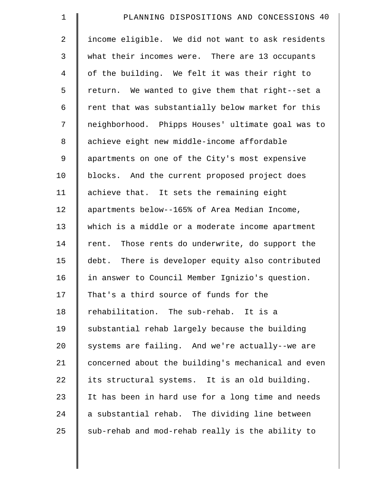| $\mathbf 1$    | PLANNING DISPOSITIONS AND CONCESSIONS 40           |
|----------------|----------------------------------------------------|
| $\overline{2}$ | income eligible. We did not want to ask residents  |
| 3              | what their incomes were. There are 13 occupants    |
| $\overline{4}$ | of the building. We felt it was their right to     |
| 5              | return. We wanted to give them that right--set a   |
| 6              | rent that was substantially below market for this  |
| 7              | neighborhood. Phipps Houses' ultimate goal was to  |
| 8              | achieve eight new middle-income affordable         |
| 9              | apartments on one of the City's most expensive     |
| 10             | blocks. And the current proposed project does      |
| 11             | achieve that. It sets the remaining eight          |
| 12             | apartments below--165% of Area Median Income,      |
| 13             | which is a middle or a moderate income apartment   |
| 14             | rent. Those rents do underwrite, do support the    |
| 15             | debt. There is developer equity also contributed   |
| 16             | in answer to Council Member Ignizio's question.    |
| 17             | That's a third source of funds for the             |
| 18             | rehabilitation. The sub-rehab. It is a             |
| 19             | substantial rehab largely because the building     |
| 20             | systems are failing. And we're actually--we are    |
| 21             | concerned about the building's mechanical and even |
| 22             | its structural systems. It is an old building.     |
| 23             | It has been in hard use for a long time and needs  |
| 24             | a substantial rehab. The dividing line between     |
| 25             | sub-rehab and mod-rehab really is the ability to   |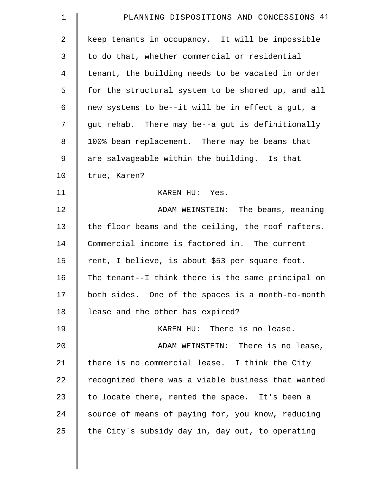| $\mathbf 1$    | PLANNING DISPOSITIONS AND CONCESSIONS 41           |
|----------------|----------------------------------------------------|
| $\overline{2}$ | keep tenants in occupancy. It will be impossible   |
| 3              | to do that, whether commercial or residential      |
| 4              | tenant, the building needs to be vacated in order  |
| 5              | for the structural system to be shored up, and all |
| 6              | new systems to be--it will be in effect a gut, a   |
| 7              | gut rehab. There may be--a gut is definitionally   |
| 8              | 100% beam replacement. There may be beams that     |
| $\mathsf 9$    | are salvageable within the building. Is that       |
| 10             | true, Karen?                                       |
| 11             | KAREN HU: Yes.                                     |
| 12             | ADAM WEINSTEIN: The beams, meaning                 |
| 13             | the floor beams and the ceiling, the roof rafters. |
| 14             | Commercial income is factored in. The current      |
| 15             | rent, I believe, is about \$53 per square foot.    |
| 16             | The tenant--I think there is the same principal on |
| 17             | both sides. One of the spaces is a month-to-month  |
| 18             | lease and the other has expired?                   |
| 19             | KAREN HU: There is no lease.                       |
| 20             | ADAM WEINSTEIN: There is no lease,                 |
| 21             | there is no commercial lease. I think the City     |
| 22             | recognized there was a viable business that wanted |
| 23             | to locate there, rented the space. It's been a     |
| 24             | source of means of paying for, you know, reducing  |
| 25             | the City's subsidy day in, day out, to operating   |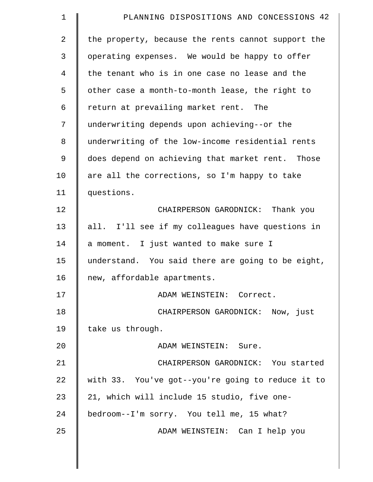| $\mathbf 1$    | PLANNING DISPOSITIONS AND CONCESSIONS 42           |
|----------------|----------------------------------------------------|
| $\overline{2}$ | the property, because the rents cannot support the |
| 3              | operating expenses. We would be happy to offer     |
| 4              | the tenant who is in one case no lease and the     |
| 5              | other case a month-to-month lease, the right to    |
| 6              | return at prevailing market rent. The              |
| 7              | underwriting depends upon achieving--or the        |
| 8              | underwriting of the low-income residential rents   |
| 9              | does depend on achieving that market rent. Those   |
| 10             | are all the corrections, so I'm happy to take      |
| 11             | questions.                                         |
| 12             | CHAIRPERSON GARODNICK: Thank you                   |
| 13             | all. I'll see if my colleagues have questions in   |
| 14             | a moment. I just wanted to make sure I             |
| 15             | understand. You said there are going to be eight,  |
| 16             | new, affordable apartments.                        |
| 17             | ADAM WEINSTEIN: Correct.                           |
| 18             | CHAIRPERSON GARODNICK: Now, just                   |
| 19             | take us through.                                   |
| 20             | ADAM WEINSTEIN: Sure.                              |
| 21             | CHAIRPERSON GARODNICK: You started                 |
| 22             | with 33. You've got--you're going to reduce it to  |
| 23             | 21, which will include 15 studio, five one-        |
| 24             | bedroom--I'm sorry. You tell me, 15 what?          |
| 25             | ADAM WEINSTEIN: Can I help you                     |
|                |                                                    |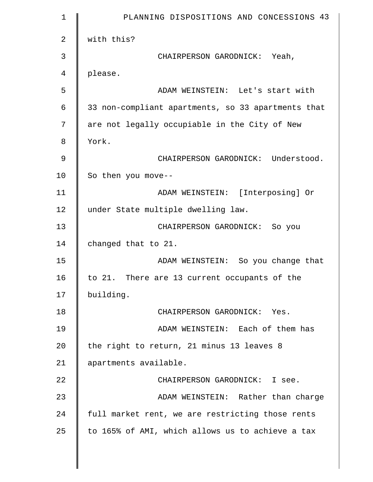| $\mathbf 1$ | PLANNING DISPOSITIONS AND CONCESSIONS 43           |
|-------------|----------------------------------------------------|
| 2           | with this?                                         |
| 3           | CHAIRPERSON GARODNICK: Yeah,                       |
| 4           | please.                                            |
| 5           | ADAM WEINSTEIN: Let's start with                   |
| 6           | 33 non-compliant apartments, so 33 apartments that |
| 7           | are not legally occupiable in the City of New      |
| 8           | York.                                              |
| 9           | CHAIRPERSON GARODNICK: Understood.                 |
| 10          | So then you move--                                 |
| 11          | ADAM WEINSTEIN: [Interposing] Or                   |
| 12          | under State multiple dwelling law.                 |
| 13          | CHAIRPERSON GARODNICK: So you                      |
| 14          | changed that to 21.                                |
| 15          | ADAM WEINSTEIN: So you change that                 |
| 16          | to 21. There are 13 current occupants of the       |
| 17          | building.                                          |
| 18          | CHAIRPERSON GARODNICK: Yes.                        |
| 19          | ADAM WEINSTEIN: Each of them has                   |
| 20          | the right to return, 21 minus 13 leaves 8          |
| 21          | apartments available.                              |
| 22          | CHAIRPERSON GARODNICK: I see.                      |
| 23          | ADAM WEINSTEIN: Rather than charge                 |
| 24          | full market rent, we are restricting those rents   |
| 25          | to 165% of AMI, which allows us to achieve a tax   |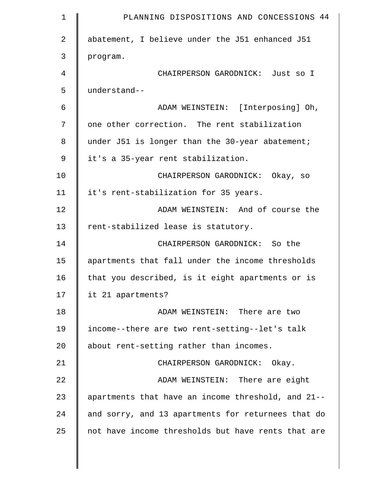| $\mathbf 1$ | PLANNING DISPOSITIONS AND CONCESSIONS 44           |
|-------------|----------------------------------------------------|
| 2           | abatement, I believe under the J51 enhanced J51    |
| 3           | program.                                           |
| 4           | CHAIRPERSON GARODNICK: Just so I                   |
| 5           | understand--                                       |
| 6           | ADAM WEINSTEIN: [Interposing] Oh,                  |
| 7           | one other correction. The rent stabilization       |
| 8           | under J51 is longer than the 30-year abatement;    |
| 9           | it's a 35-year rent stabilization.                 |
| 10          | CHAIRPERSON GARODNICK: Okay, so                    |
| 11          | it's rent-stabilization for 35 years.              |
| 12          | ADAM WEINSTEIN: And of course the                  |
| 13          | rent-stabilized lease is statutory.                |
| 14          | CHAIRPERSON GARODNICK: So the                      |
| 15          | apartments that fall under the income thresholds   |
| 16          | that you described, is it eight apartments or is   |
| 17          | it 21 apartments?                                  |
| 18          | ADAM WEINSTEIN: There are two                      |
| 19          | income--there are two rent-setting--let's talk     |
| 20          | about rent-setting rather than incomes.            |
| 21          | CHAIRPERSON GARODNICK: Okay.                       |
| 22          | ADAM WEINSTEIN: There are eight                    |
| 23          | apartments that have an income threshold, and 21-- |
| 24          | and sorry, and 13 apartments for returnees that do |
| 25          | not have income thresholds but have rents that are |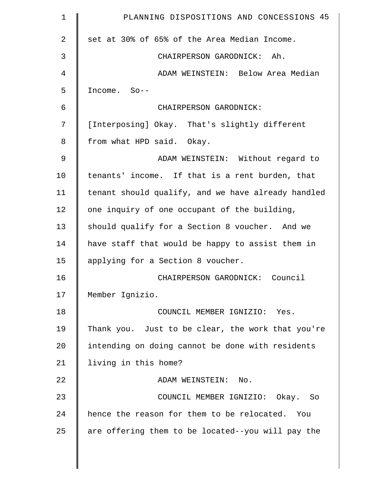| $\mathbf 1$    | PLANNING DISPOSITIONS AND CONCESSIONS 45           |
|----------------|----------------------------------------------------|
| $\overline{a}$ | set at 30% of 65% of the Area Median Income.       |
| 3              | CHAIRPERSON GARODNICK: Ah.                         |
| 4              | ADAM WEINSTEIN: Below Area Median                  |
| 5              | Income. So--                                       |
| 6              | CHAIRPERSON GARODNICK:                             |
| 7              | [Interposing] Okay. That's slightly different      |
| 8              | from what HPD said. Okay.                          |
| 9              | ADAM WEINSTEIN: Without regard to                  |
| 10             | tenants' income. If that is a rent burden, that    |
| 11             | tenant should qualify, and we have already handled |
| 12             | one inquiry of one occupant of the building,       |
| 13             | should qualify for a Section 8 voucher. And we     |
| 14             | have staff that would be happy to assist them in   |
| 15             | applying for a Section 8 voucher.                  |
| 16             | CHAIRPERSON GARODNICK: Council                     |
| 17             | Member Ignizio.                                    |
| 18             | COUNCIL MEMBER IGNIZIO: Yes.                       |
| 19             | Thank you. Just to be clear, the work that you're  |
| 20             | intending on doing cannot be done with residents   |
| 21             | living in this home?                               |
| 22             | ADAM WEINSTEIN: No.                                |
| 23             | COUNCIL MEMBER IGNIZIO: Okay. So                   |
| 24             | hence the reason for them to be relocated. You     |
| 25             | are offering them to be located--you will pay the  |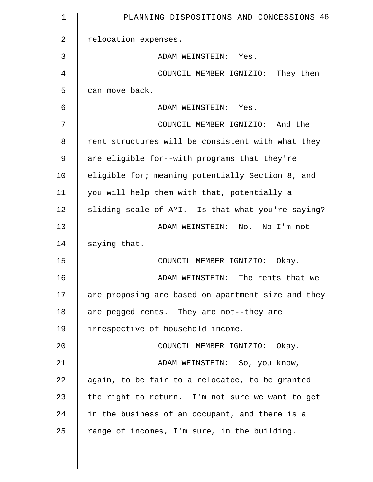| $\mathbf 1$    | PLANNING DISPOSITIONS AND CONCESSIONS 46           |
|----------------|----------------------------------------------------|
| $\overline{2}$ | relocation expenses.                               |
| 3              | ADAM WEINSTEIN: Yes.                               |
| $\overline{4}$ | COUNCIL MEMBER IGNIZIO: They then                  |
| 5              | can move back.                                     |
| 6              | ADAM WEINSTEIN: Yes.                               |
| 7              | COUNCIL MEMBER IGNIZIO: And the                    |
| 8              | rent structures will be consistent with what they  |
| 9              | are eligible for--with programs that they're       |
| 10             | eligible for; meaning potentially Section 8, and   |
| 11             | you will help them with that, potentially a        |
| 12             | sliding scale of AMI. Is that what you're saying?  |
| 13             | ADAM WEINSTEIN: No. No I'm not                     |
| 14             | saying that.                                       |
| 15             | COUNCIL MEMBER IGNIZIO: Okay.                      |
| 16             | ADAM WEINSTEIN: The rents that we                  |
| 17             | are proposing are based on apartment size and they |
| 18             | are pegged rents. They are not--they are           |
| 19             | irrespective of household income.                  |
| 20             | COUNCIL MEMBER IGNIZIO: Okay.                      |
| 21             | ADAM WEINSTEIN: So, you know,                      |
| 22             | again, to be fair to a relocatee, to be granted    |
| 23             | the right to return. I'm not sure we want to get   |
| 24             | in the business of an occupant, and there is a     |
| 25             | range of incomes, I'm sure, in the building.       |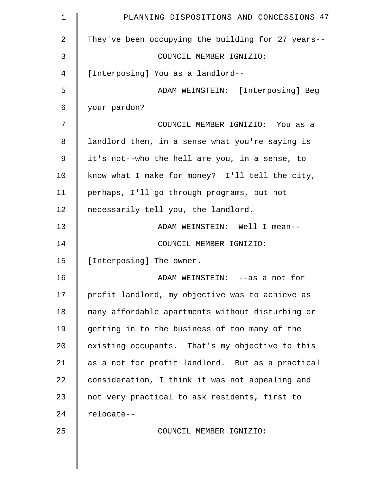| $\mathbf 1$ | PLANNING DISPOSITIONS AND CONCESSIONS 47           |
|-------------|----------------------------------------------------|
| 2           | They've been occupying the building for 27 years-- |
| 3           | COUNCIL MEMBER IGNIZIO:                            |
| 4           | [Interposing] You as a landlord--                  |
| 5           | ADAM WEINSTEIN: [Interposing] Beg                  |
| 6           | your pardon?                                       |
| 7           | COUNCIL MEMBER IGNIZIO: You as a                   |
| 8           | landlord then, in a sense what you're saying is    |
| 9           | it's not--who the hell are you, in a sense, to     |
| 10          | know what I make for money? I'll tell the city,    |
| 11          | perhaps, I'll go through programs, but not         |
| 12          | necessarily tell you, the landlord.                |
| 13          | ADAM WEINSTEIN: Well I mean--                      |
| 14          | COUNCIL MEMBER IGNIZIO:                            |
| 15          | [Interposing] The owner.                           |
| 16          | ADAM WEINSTEIN: --as a not for                     |
| 17          | profit landlord, my objective was to achieve as    |
| 18          | many affordable apartments without disturbing or   |
| 19          | getting in to the business of too many of the      |
| 20          | existing occupants. That's my objective to this    |
| 21          | as a not for profit landlord. But as a practical   |
| 22          | consideration, I think it was not appealing and    |
| 23          | not very practical to ask residents, first to      |
| 24          | relocate--                                         |
| 25          | COUNCIL MEMBER IGNIZIO:                            |
|             |                                                    |
|             |                                                    |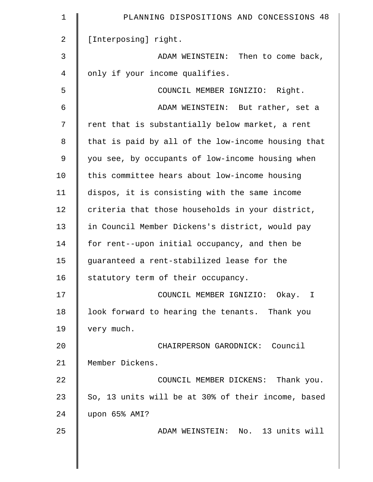| $\mathbf 1$ | PLANNING DISPOSITIONS AND CONCESSIONS 48           |
|-------------|----------------------------------------------------|
| 2           | [Interposing] right.                               |
| 3           | ADAM WEINSTEIN: Then to come back,                 |
| 4           | only if your income qualifies.                     |
| 5           | COUNCIL MEMBER IGNIZIO: Right.                     |
| 6           | ADAM WEINSTEIN: But rather, set a                  |
| 7           | rent that is substantially below market, a rent    |
| 8           | that is paid by all of the low-income housing that |
| 9           | you see, by occupants of low-income housing when   |
| 10          | this committee hears about low-income housing      |
| 11          | dispos, it is consisting with the same income      |
| 12          | criteria that those households in your district,   |
| 13          | in Council Member Dickens's district, would pay    |
| 14          | for rent--upon initial occupancy, and then be      |
| 15          | quaranteed a rent-stabilized lease for the         |
| 16          | statutory term of their occupancy.                 |
| 17          | COUNCIL MEMBER IGNIZIO: Okay. I                    |
| 18          | look forward to hearing the tenants. Thank you     |
| 19          | very much.                                         |
| 20          | CHAIRPERSON GARODNICK: Council                     |
| 21          | Member Dickens.                                    |
| 22          | COUNCIL MEMBER DICKENS: Thank you.                 |
| 23          | So, 13 units will be at 30% of their income, based |
| 24          | upon 65% AMI?                                      |
| 25          | ADAM WEINSTEIN: No. 13 units will                  |
|             |                                                    |
|             |                                                    |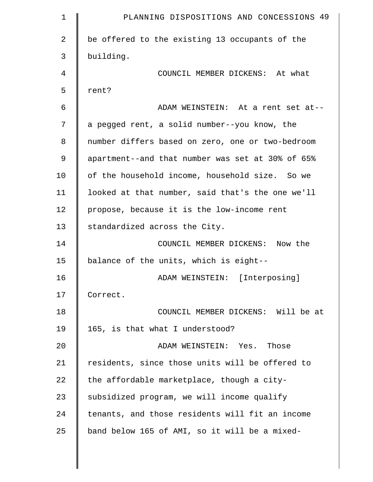| $\mathbf 1$    | PLANNING DISPOSITIONS AND CONCESSIONS 49         |
|----------------|--------------------------------------------------|
| $\overline{a}$ | be offered to the existing 13 occupants of the   |
| 3              | building.                                        |
| 4              | COUNCIL MEMBER DICKENS: At what                  |
| 5              | rent?                                            |
| 6              | ADAM WEINSTEIN: At a rent set at--               |
| 7              | a pegged rent, a solid number--you know, the     |
| 8              | number differs based on zero, one or two-bedroom |
| 9              | apartment--and that number was set at 30% of 65% |
| 10             | of the household income, household size. So we   |
| 11             | looked at that number, said that's the one we'll |
| 12             | propose, because it is the low-income rent       |
| 13             | standardized across the City.                    |
| 14             | COUNCIL MEMBER DICKENS: Now the                  |
| 15             | balance of the units, which is eight--           |
| 16             | ADAM WEINSTEIN: [Interposing]                    |
| 17             | Correct.                                         |
| 18             | COUNCIL MEMBER DICKENS: Will be at               |
| 19             | 165, is that what I understood?                  |
| 20             | ADAM WEINSTEIN: Yes. Those                       |
| 21             | residents, since those units will be offered to  |
| 22             | the affordable marketplace, though a city-       |
| 23             | subsidized program, we will income qualify       |
| 24             | tenants, and those residents will fit an income  |
| 25             | band below 165 of AMI, so it will be a mixed-    |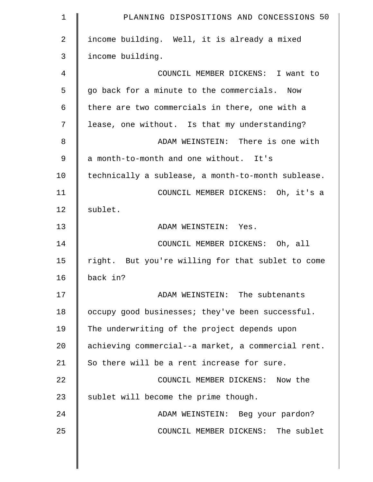| $\mathbf 1$    | PLANNING DISPOSITIONS AND CONCESSIONS 50           |
|----------------|----------------------------------------------------|
| $\overline{a}$ | income building. Well, it is already a mixed       |
| 3              | income building.                                   |
| 4              | COUNCIL MEMBER DICKENS: I want to                  |
| 5              | go back for a minute to the commercials. Now       |
| 6              | there are two commercials in there, one with a     |
| 7              | lease, one without. Is that my understanding?      |
| 8              | ADAM WEINSTEIN: There is one with                  |
| 9              | a month-to-month and one without. It's             |
| 10             | technically a sublease, a month-to-month sublease. |
| 11             | COUNCIL MEMBER DICKENS: Oh, it's a                 |
| 12             | sublet.                                            |
| 13             | ADAM WEINSTEIN: Yes.                               |
| 14             | COUNCIL MEMBER DICKENS: Oh, all                    |
| 15             | right. But you're willing for that sublet to come  |
| 16             | back in?                                           |
| 17             | ADAM WEINSTEIN: The subtenants                     |
| 18             | occupy good businesses; they've been successful.   |
| 19             | The underwriting of the project depends upon       |
| 20             | achieving commercial--a market, a commercial rent. |
| 21             | So there will be a rent increase for sure.         |
| 22             | COUNCIL MEMBER DICKENS: Now the                    |
| 23             | sublet will become the prime though.               |
| 24             | ADAM WEINSTEIN: Beg your pardon?                   |
| 25             | COUNCIL MEMBER DICKENS: The sublet                 |
|                |                                                    |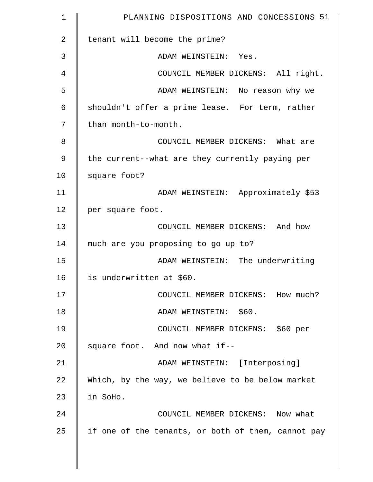| 1  | PLANNING DISPOSITIONS AND CONCESSIONS 51           |
|----|----------------------------------------------------|
| 2  | tenant will become the prime?                      |
| 3  | ADAM WEINSTEIN: Yes.                               |
| 4  | COUNCIL MEMBER DICKENS: All right.                 |
| 5  | ADAM WEINSTEIN: No reason why we                   |
| 6  | shouldn't offer a prime lease. For term, rather    |
| 7  | than month-to-month.                               |
| 8  | COUNCIL MEMBER DICKENS: What are                   |
| 9  | the current--what are they currently paying per    |
| 10 | square foot?                                       |
| 11 | ADAM WEINSTEIN: Approximately \$53                 |
| 12 | per square foot.                                   |
| 13 | COUNCIL MEMBER DICKENS: And how                    |
| 14 | much are you proposing to go up to?                |
| 15 | ADAM WEINSTEIN: The underwriting                   |
| 16 | is underwritten at \$60.                           |
| 17 | COUNCIL MEMBER DICKENS: How much?                  |
| 18 | ADAM WEINSTEIN: \$60.                              |
| 19 | COUNCIL MEMBER DICKENS: \$60 per                   |
| 20 | square foot. And now what if--                     |
| 21 | ADAM WEINSTEIN: [Interposing]                      |
| 22 | Which, by the way, we believe to be below market   |
| 23 | in SoHo.                                           |
| 24 | COUNCIL MEMBER DICKENS: Now what                   |
| 25 | if one of the tenants, or both of them, cannot pay |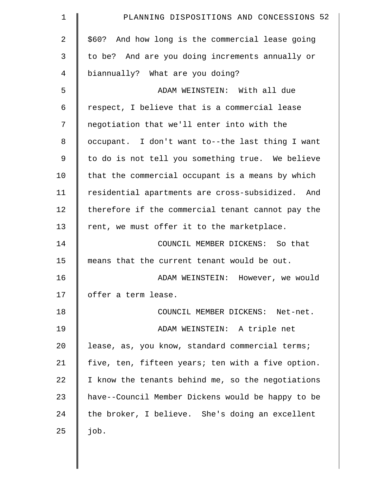| $\mathbf 1$    | PLANNING DISPOSITIONS AND CONCESSIONS 52          |
|----------------|---------------------------------------------------|
| $\overline{2}$ | \$60? And how long is the commercial lease going  |
| 3              | to be? And are you doing increments annually or   |
| 4              | biannually? What are you doing?                   |
| 5              | ADAM WEINSTEIN: With all due                      |
| 6              | respect, I believe that is a commercial lease     |
| 7              | negotiation that we'll enter into with the        |
| $\,8\,$        | occupant. I don't want to--the last thing I want  |
| 9              | to do is not tell you something true. We believe  |
| 10             | that the commercial occupant is a means by which  |
| 11             | residential apartments are cross-subsidized. And  |
| 12             | therefore if the commercial tenant cannot pay the |
| 13             | rent, we must offer it to the marketplace.        |
| 14             | COUNCIL MEMBER DICKENS: So that                   |
| 15             | means that the current tenant would be out.       |
| 16             | ADAM WEINSTEIN: However, we would                 |
| 17             | offer a term lease.                               |
| 18             | COUNCIL MEMBER DICKENS: Net-net.                  |
| 19             | ADAM WEINSTEIN: A triple net                      |
| 20             | lease, as, you know, standard commercial terms;   |
| 21             | five, ten, fifteen years; ten with a five option. |
| 22             | I know the tenants behind me, so the negotiations |
| 23             | have--Council Member Dickens would be happy to be |
| 24             | the broker, I believe. She's doing an excellent   |
| 25             | job.                                              |
|                |                                                   |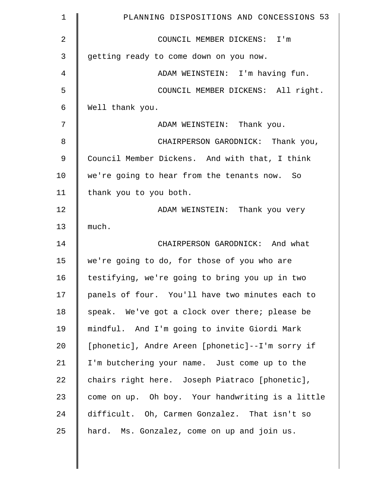| $\mathbf 1$    | PLANNING DISPOSITIONS AND CONCESSIONS 53         |
|----------------|--------------------------------------------------|
| $\overline{2}$ | COUNCIL MEMBER DICKENS: I'm                      |
| 3              | getting ready to come down on you now.           |
| 4              | ADAM WEINSTEIN: I'm having fun.                  |
| 5              | COUNCIL MEMBER DICKENS: All right.               |
| 6              | Well thank you.                                  |
| 7              | ADAM WEINSTEIN: Thank you.                       |
| 8              | CHAIRPERSON GARODNICK: Thank you,                |
| 9              | Council Member Dickens. And with that, I think   |
| 10             | we're going to hear from the tenants now. So     |
| 11             | thank you to you both.                           |
| 12             | ADAM WEINSTEIN: Thank you very                   |
| 13             | much.                                            |
| 14             | CHAIRPERSON GARODNICK: And what                  |
| 15             | we're going to do, for those of you who are      |
| 16             | testifying, we're going to bring you up in two   |
| 17             | panels of four. You'll have two minutes each to  |
| 18             | speak. We've got a clock over there; please be   |
| 19             | mindful. And I'm going to invite Giordi Mark     |
| 20             | [phonetic], Andre Areen [phonetic]--I'm sorry if |
| 21             | I'm butchering your name. Just come up to the    |
| 22             | chairs right here. Joseph Piatraco [phonetic],   |
| 23             | come on up. Oh boy. Your handwriting is a little |
| 24             | difficult. Oh, Carmen Gonzalez. That isn't so    |
| 25             | hard. Ms. Gonzalez, come on up and join us.      |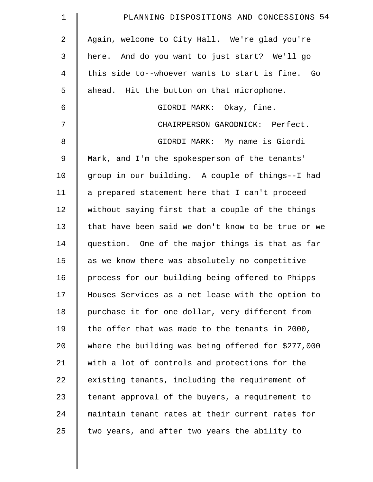| $\mathbf 1$    | PLANNING DISPOSITIONS AND CONCESSIONS 54           |
|----------------|----------------------------------------------------|
| $\overline{2}$ | Again, welcome to City Hall. We're glad you're     |
| 3              | here. And do you want to just start? We'll go      |
| $\overline{4}$ | this side to--whoever wants to start is fine. Go   |
| 5              | ahead. Hit the button on that microphone.          |
| 6              | GIORDI MARK: Okay, fine.                           |
| 7              | CHAIRPERSON GARODNICK: Perfect.                    |
| 8              | GIORDI MARK: My name is Giordi                     |
| 9              | Mark, and I'm the spokesperson of the tenants'     |
| 10             | group in our building. A couple of things--I had   |
| 11             | a prepared statement here that I can't proceed     |
| 12             | without saying first that a couple of the things   |
| 13             | that have been said we don't know to be true or we |
| 14             | question. One of the major things is that as far   |
| 15             | as we know there was absolutely no competitive     |
| 16             | process for our building being offered to Phipps   |
| 17             | Houses Services as a net lease with the option to  |
| 18             | purchase it for one dollar, very different from    |
| 19             | the offer that was made to the tenants in 2000,    |
| 20             | where the building was being offered for \$277,000 |
| 21             | with a lot of controls and protections for the     |
| 22             | existing tenants, including the requirement of     |
| 23             | tenant approval of the buyers, a requirement to    |
| 24             | maintain tenant rates at their current rates for   |
| 25             | two years, and after two years the ability to      |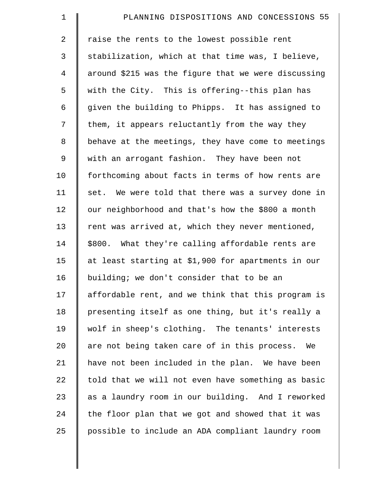| $\mathbf 1$    | PLANNING DISPOSITIONS AND CONCESSIONS 55            |
|----------------|-----------------------------------------------------|
| $\overline{a}$ | raise the rents to the lowest possible rent         |
| $\mathfrak{Z}$ | stabilization, which at that time was, I believe,   |
| $\overline{4}$ | around \$215 was the figure that we were discussing |
| 5              | with the City. This is offering--this plan has      |
| 6              | given the building to Phipps. It has assigned to    |
| 7              | them, it appears reluctantly from the way they      |
| 8              | behave at the meetings, they have come to meetings  |
| 9              | with an arrogant fashion. They have been not        |
| 10             | forthcoming about facts in terms of how rents are   |
| 11             | set. We were told that there was a survey done in   |
| 12             | our neighborhood and that's how the \$800 a month   |
| 13             | rent was arrived at, which they never mentioned,    |
| 14             | \$800. What they're calling affordable rents are    |
| 15             | at least starting at \$1,900 for apartments in our  |
| 16             | building; we don't consider that to be an           |
| 17             | affordable rent, and we think that this program is  |
| 18             | presenting itself as one thing, but it's really a   |
| 19             | wolf in sheep's clothing. The tenants' interests    |
| 20             | are not being taken care of in this process. We     |
| 21             | have not been included in the plan. We have been    |
| 22             | told that we will not even have something as basic  |
| 23             | as a laundry room in our building. And I reworked   |
| 24             | the floor plan that we got and showed that it was   |
| 25             | possible to include an ADA compliant laundry room   |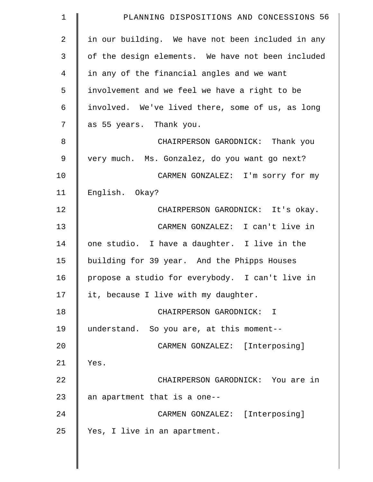| $\mathbf 1$    | PLANNING DISPOSITIONS AND CONCESSIONS 56          |
|----------------|---------------------------------------------------|
| $\overline{2}$ | in our building. We have not been included in any |
| 3              | of the design elements. We have not been included |
| $\overline{4}$ | in any of the financial angles and we want        |
| 5              | involvement and we feel we have a right to be     |
| 6              | involved. We've lived there, some of us, as long  |
| 7              | as 55 years. Thank you.                           |
| 8              | CHAIRPERSON GARODNICK: Thank you                  |
| 9              | very much. Ms. Gonzalez, do you want go next?     |
| 10             | CARMEN GONZALEZ: I'm sorry for my                 |
| 11             | English. Okay?                                    |
| 12             | CHAIRPERSON GARODNICK: It's okay.                 |
| 13             | CARMEN GONZALEZ: I can't live in                  |
| 14             | one studio. I have a daughter. I live in the      |
| 15             | building for 39 year. And the Phipps Houses       |
| 16             | propose a studio for everybody. I can't live in   |
| 17             | it, because I live with my daughter.              |
| 18             | CHAIRPERSON GARODNICK: I                          |
| 19             | understand. So you are, at this moment--          |
| 20             | CARMEN GONZALEZ: [Interposing]                    |
| 21             | Yes.                                              |
| 22             | CHAIRPERSON GARODNICK: You are in                 |
| 23             | an apartment that is a one--                      |
| 24             | CARMEN GONZALEZ: [Interposing]                    |
| 25             | Yes, I live in an apartment.                      |
|                |                                                   |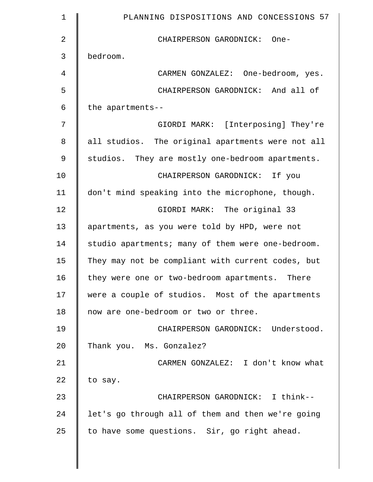| $\mathbf 1$    | PLANNING DISPOSITIONS AND CONCESSIONS 57          |
|----------------|---------------------------------------------------|
| $\overline{2}$ | CHAIRPERSON GARODNICK: One-                       |
| 3              | bedroom.                                          |
| 4              | CARMEN GONZALEZ: One-bedroom, yes.                |
| 5              | CHAIRPERSON GARODNICK: And all of                 |
| 6              | the apartments--                                  |
| 7              | GIORDI MARK: [Interposing] They're                |
| 8              | all studios. The original apartments were not all |
| $\mathsf 9$    | studios. They are mostly one-bedroom apartments.  |
| 10             | CHAIRPERSON GARODNICK: If you                     |
| 11             | don't mind speaking into the microphone, though.  |
| 12             | GIORDI MARK: The original 33                      |
| 13             | apartments, as you were told by HPD, were not     |
| 14             | studio apartments; many of them were one-bedroom. |
| 15             | They may not be compliant with current codes, but |
| 16             | they were one or two-bedroom apartments. There    |
| 17             | were a couple of studios. Most of the apartments  |
| 18             | now are one-bedroom or two or three.              |
| 19             | CHAIRPERSON GARODNICK: Understood.                |
| 20             | Thank you. Ms. Gonzalez?                          |
| 21             | CARMEN GONZALEZ: I don't know what                |
| 22             | to say.                                           |
| 23             | CHAIRPERSON GARODNICK: I think--                  |
| 24             | let's go through all of them and then we're going |
| 25             | to have some questions. Sir, go right ahead.      |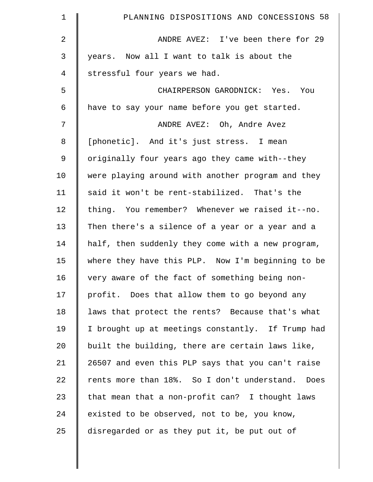| $\mathbf 1$    | PLANNING DISPOSITIONS AND CONCESSIONS 58          |
|----------------|---------------------------------------------------|
| 2              | ANDRE AVEZ: I've been there for 29                |
| 3              | years. Now all I want to talk is about the        |
| $\overline{4}$ | stressful four years we had.                      |
| 5              | CHAIRPERSON GARODNICK: Yes. You                   |
| 6              | have to say your name before you get started.     |
| 7              | ANDRE AVEZ: Oh, Andre Avez                        |
| 8              | [phonetic]. And it's just stress. I mean          |
| $\mathsf 9$    | originally four years ago they came with--they    |
| 10             | were playing around with another program and they |
| 11             | said it won't be rent-stabilized. That's the      |
| 12             | thing. You remember? Whenever we raised it--no.   |
| 13             | Then there's a silence of a year or a year and a  |
| 14             | half, then suddenly they come with a new program, |
| 15             | where they have this PLP. Now I'm beginning to be |
| 16             | very aware of the fact of something being non-    |
| 17             | profit. Does that allow them to go beyond any     |
| 18             | laws that protect the rents? Because that's what  |
| 19             | I brought up at meetings constantly. If Trump had |
| 20             | built the building, there are certain laws like,  |
| 21             | 26507 and even this PLP says that you can't raise |
| 22             | rents more than 18%. So I don't understand. Does  |
| 23             | that mean that a non-profit can? I thought laws   |
| 24             | existed to be observed, not to be, you know,      |
| 25             | disregarded or as they put it, be put out of      |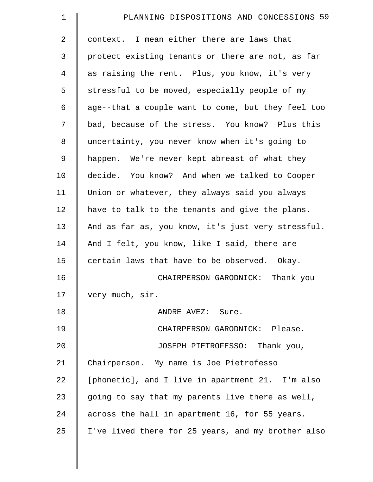| $\mathbf 1$    | PLANNING DISPOSITIONS AND CONCESSIONS 59           |
|----------------|----------------------------------------------------|
| $\overline{2}$ | context. I mean either there are laws that         |
| 3              | protect existing tenants or there are not, as far  |
| $\overline{4}$ | as raising the rent. Plus, you know, it's very     |
| 5              | stressful to be moved, especially people of my     |
| 6              | age--that a couple want to come, but they feel too |
| 7              | bad, because of the stress. You know? Plus this    |
| $\,8\,$        | uncertainty, you never know when it's going to     |
| 9              | happen. We're never kept abreast of what they      |
| 10             | decide. You know? And when we talked to Cooper     |
| 11             | Union or whatever, they always said you always     |
| 12             | have to talk to the tenants and give the plans.    |
| 13             | And as far as, you know, it's just very stressful. |
| 14             | And I felt, you know, like I said, there are       |
| 15             | certain laws that have to be observed. Okay.       |
| 16             | CHAIRPERSON GARODNICK: Thank you                   |
| 17             | very much, sir.                                    |
| 18             | ANDRE AVEZ: Sure.                                  |
| 19             | CHAIRPERSON GARODNICK: Please.                     |
| 20             | JOSEPH PIETROFESSO: Thank you,                     |
| 21             | Chairperson. My name is Joe Pietrofesso            |
| 22             | [phonetic], and I live in apartment 21. I'm also   |
| 23             | going to say that my parents live there as well,   |
| 24             | across the hall in apartment 16, for 55 years.     |
| 25             | I've lived there for 25 years, and my brother also |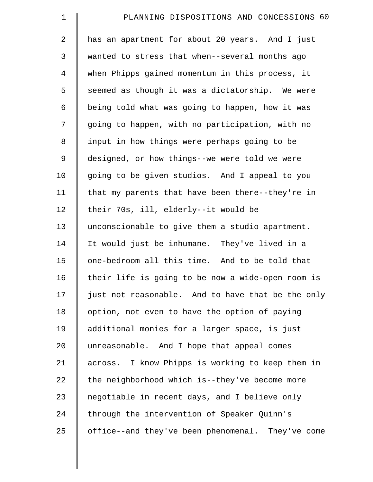| $\mathbf 1$    | PLANNING DISPOSITIONS AND CONCESSIONS 60          |
|----------------|---------------------------------------------------|
| $\overline{a}$ | has an apartment for about 20 years. And I just   |
| 3              | wanted to stress that when--several months ago    |
| $\overline{4}$ | when Phipps gained momentum in this process, it   |
| 5              | seemed as though it was a dictatorship. We were   |
| 6              | being told what was going to happen, how it was   |
| 7              | going to happen, with no participation, with no   |
| 8              | input in how things were perhaps going to be      |
| 9              | designed, or how things--we were told we were     |
| 10             | going to be given studios. And I appeal to you    |
| 11             | that my parents that have been there--they're in  |
| 12             | their 70s, ill, elderly--it would be              |
| 13             | unconscionable to give them a studio apartment.   |
| 14             | It would just be inhumane. They've lived in a     |
| 15             | one-bedroom all this time. And to be told that    |
| 16             | their life is going to be now a wide-open room is |
| 17             | just not reasonable. And to have that be the only |
| 18             | option, not even to have the option of paying     |
| 19             | additional monies for a larger space, is just     |
| 20             | unreasonable. And I hope that appeal comes        |
| 21             | across. I know Phipps is working to keep them in  |
| 22             | the neighborhood which is--they've become more    |
| 23             | negotiable in recent days, and I believe only     |
| 24             | through the intervention of Speaker Quinn's       |
| 25             | office--and they've been phenomenal. They've come |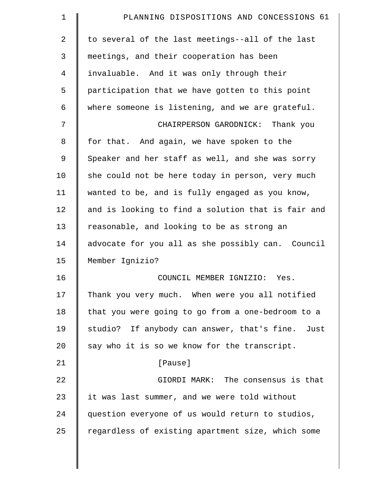| $\mathbf 1$    | PLANNING DISPOSITIONS AND CONCESSIONS 61           |
|----------------|----------------------------------------------------|
| $\overline{a}$ | to several of the last meetings--all of the last   |
| 3              | meetings, and their cooperation has been           |
| 4              | invaluable. And it was only through their          |
| 5              | participation that we have gotten to this point    |
| 6              | where someone is listening, and we are grateful.   |
| 7              | CHAIRPERSON GARODNICK: Thank you                   |
| 8              | for that. And again, we have spoken to the         |
| 9              | Speaker and her staff as well, and she was sorry   |
| 10             | she could not be here today in person, very much   |
| 11             | wanted to be, and is fully engaged as you know,    |
| 12             | and is looking to find a solution that is fair and |
| 13             | reasonable, and looking to be as strong an         |
| 14             | advocate for you all as she possibly can. Council  |
| 15             | Member Ignizio?                                    |
| 16             | COUNCIL MEMBER IGNIZIO: Yes.                       |
| 17             | Thank you very much. When were you all notified    |
| 18             | that you were going to go from a one-bedroom to a  |
| 19             | studio? If anybody can answer, that's fine. Just   |
| 20             | say who it is so we know for the transcript.       |
| 21             | [Pause]                                            |
| 22             | GIORDI MARK: The consensus is that                 |
| 23             | it was last summer, and we were told without       |
| 24             | question everyone of us would return to studios,   |
| 25             | regardless of existing apartment size, which some  |
|                |                                                    |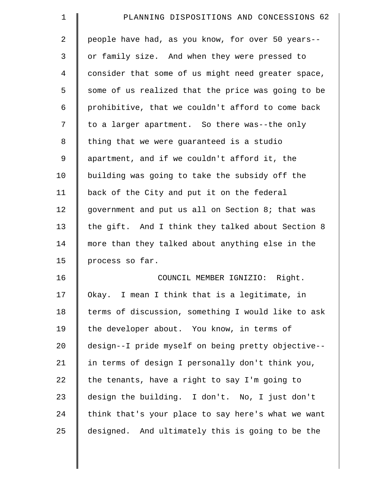| $\mathbf 1$    | PLANNING DISPOSITIONS AND CONCESSIONS 62           |
|----------------|----------------------------------------------------|
| $\overline{2}$ | people have had, as you know, for over 50 years--  |
| 3              | or family size. And when they were pressed to      |
| 4              | consider that some of us might need greater space, |
| 5              | some of us realized that the price was going to be |
| 6              | prohibitive, that we couldn't afford to come back  |
| 7              | to a larger apartment. So there was--the only      |
| 8              | thing that we were quaranteed is a studio          |
| 9              | apartment, and if we couldn't afford it, the       |
| 10             | building was going to take the subsidy off the     |
| 11             | back of the City and put it on the federal         |
| 12             | government and put us all on Section 8; that was   |
| 13             | the gift. And I think they talked about Section 8  |
| 14             | more than they talked about anything else in the   |
| 15             | process so far.                                    |
| 16             | COUNCIL MEMBER IGNIZIO: Right.                     |
| 17             | Okay. I mean I think that is a legitimate, in      |
| 18             | terms of discussion, something I would like to ask |
| 19             | the developer about. You know, in terms of         |
| 20             | design--I pride myself on being pretty objective-- |
| 21             | in terms of design I personally don't think you,   |
| 22             | the tenants, have a right to say I'm going to      |
| 23             | design the building. I don't. No, I just don't     |
| 24             | think that's your place to say here's what we want |
| 25             | designed. And ultimately this is going to be the   |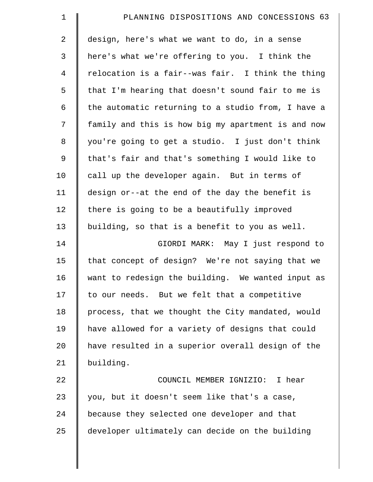| $\mathbf 1$    | PLANNING DISPOSITIONS AND CONCESSIONS 63           |
|----------------|----------------------------------------------------|
| $\overline{2}$ | design, here's what we want to do, in a sense      |
| $\mathfrak{Z}$ | here's what we're offering to you. I think the     |
| $\overline{4}$ | relocation is a fair--was fair. I think the thing  |
| 5              | that I'm hearing that doesn't sound fair to me is  |
| 6              | the automatic returning to a studio from, I have a |
| 7              | family and this is how big my apartment is and now |
| $\,8\,$        | you're going to get a studio. I just don't think   |
| 9              | that's fair and that's something I would like to   |
| 10             | call up the developer again. But in terms of       |
| 11             | design or--at the end of the day the benefit is    |
| 12             | there is going to be a beautifully improved        |
| 13             | building, so that is a benefit to you as well.     |
| 14             | GIORDI MARK: May I just respond to                 |
| 15             | that concept of design? We're not saying that we   |
| 16             | want to redesign the building. We wanted input as  |
| 17             | to our needs. But we felt that a competitive       |
| 18             | process, that we thought the City mandated, would  |
| 19             | have allowed for a variety of designs that could   |
| 20             | have resulted in a superior overall design of the  |
| 21             | building.                                          |
| 22             | COUNCIL MEMBER IGNIZIO:<br>I hear                  |
| 23             | you, but it doesn't seem like that's a case,       |
| 24             | because they selected one developer and that       |
| 25             | developer ultimately can decide on the building    |
|                |                                                    |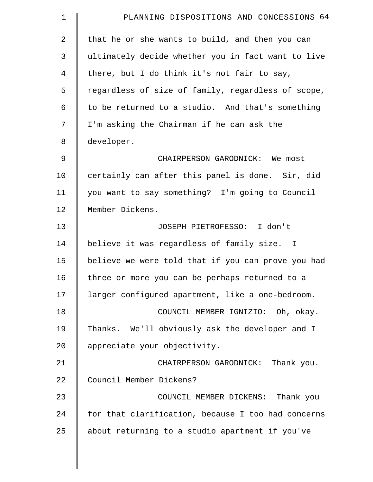| $\mathbf 1$ | PLANNING DISPOSITIONS AND CONCESSIONS 64           |
|-------------|----------------------------------------------------|
| 2           | that he or she wants to build, and then you can    |
| 3           | ultimately decide whether you in fact want to live |
| 4           | there, but I do think it's not fair to say,        |
| 5           | regardless of size of family, regardless of scope, |
| 6           | to be returned to a studio. And that's something   |
| 7           | I'm asking the Chairman if he can ask the          |
| 8           | developer.                                         |
| 9           | CHAIRPERSON GARODNICK: We most                     |
| 10          | certainly can after this panel is done. Sir, did   |
| 11          | you want to say something? I'm going to Council    |
| 12          | Member Dickens.                                    |
| 13          | JOSEPH PIETROFESSO: I don't                        |
| 14          | believe it was regardless of family size. I        |
| 15          | believe we were told that if you can prove you had |
| 16          | three or more you can be perhaps returned to a     |
| 17          | larger configured apartment, like a one-bedroom.   |
| 18          | COUNCIL MEMBER IGNIZIO: Oh, okay.                  |
| 19          | Thanks. We'll obviously ask the developer and I    |
| 20          | appreciate your objectivity.                       |
| 21          | CHAIRPERSON GARODNICK: Thank you.                  |
| 22          | Council Member Dickens?                            |
| 23          | COUNCIL MEMBER DICKENS: Thank you                  |
| 24          | for that clarification, because I too had concerns |
| 25          | about returning to a studio apartment if you've    |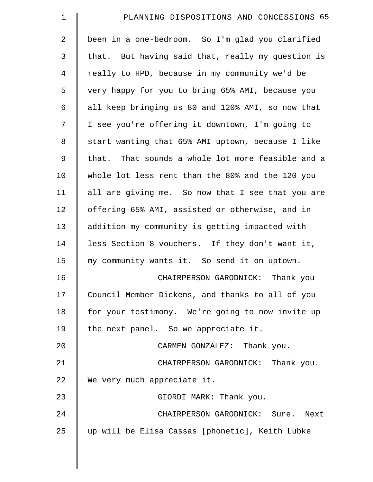| $\mathbf 1$    | PLANNING DISPOSITIONS AND CONCESSIONS 65          |
|----------------|---------------------------------------------------|
| $\overline{a}$ | been in a one-bedroom. So I'm glad you clarified  |
| 3              | that. But having said that, really my question is |
| 4              | really to HPD, because in my community we'd be    |
| 5              | very happy for you to bring 65% AMI, because you  |
| 6              | all keep bringing us 80 and 120% AMI, so now that |
| 7              | I see you're offering it downtown, I'm going to   |
| 8              | start wanting that 65% AMI uptown, because I like |
| 9              | that. That sounds a whole lot more feasible and a |
| 10             | whole lot less rent than the 80% and the 120 you  |
| 11             | all are giving me. So now that I see that you are |
| 12             | offering 65% AMI, assisted or otherwise, and in   |
| 13             | addition my community is getting impacted with    |
| 14             | less Section 8 vouchers. If they don't want it,   |
| 15             | my community wants it. So send it on uptown.      |
| 16             | CHAIRPERSON GARODNICK: Thank you                  |
| 17             | Council Member Dickens, and thanks to all of you  |
| 18             | for your testimony. We're going to now invite up  |
| 19             | the next panel. So we appreciate it.              |
| 20             | CARMEN GONZALEZ: Thank you.                       |
| 21             | CHAIRPERSON GARODNICK: Thank you.                 |
| 22             | We very much appreciate it.                       |
| 23             | GIORDI MARK: Thank you.                           |
| 24             | CHAIRPERSON GARODNICK: Sure. Next                 |
| 25             | up will be Elisa Cassas [phonetic], Keith Lubke   |
|                |                                                   |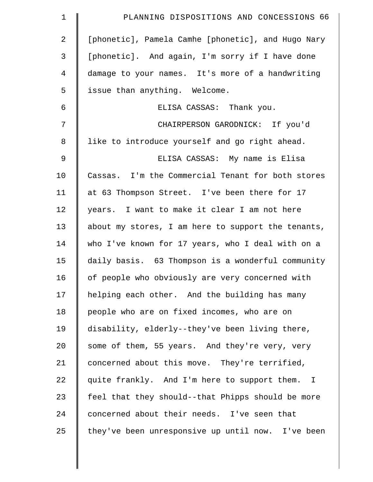| $\mathbf 1$    | PLANNING DISPOSITIONS AND CONCESSIONS 66           |
|----------------|----------------------------------------------------|
| 2              | [phonetic], Pamela Camhe [phonetic], and Hugo Nary |
| 3              | [phonetic]. And again, I'm sorry if I have done    |
| $\overline{4}$ | damage to your names. It's more of a handwriting   |
| 5              | issue than anything. Welcome.                      |
| 6              | ELISA CASSAS: Thank you.                           |
| 7              | CHAIRPERSON GARODNICK: If you'd                    |
| 8              | like to introduce yourself and go right ahead.     |
| $\mathsf 9$    | ELISA CASSAS: My name is Elisa                     |
| 10             | Cassas. I'm the Commercial Tenant for both stores  |
| 11             | at 63 Thompson Street. I've been there for 17      |
| 12             | years. I want to make it clear I am not here       |
| 13             | about my stores, I am here to support the tenants, |
| 14             | who I've known for 17 years, who I deal with on a  |
| 15             | daily basis. 63 Thompson is a wonderful community  |
| 16             | of people who obviously are very concerned with    |
| 17             | helping each other. And the building has many      |
| 18             | people who are on fixed incomes, who are on        |
| 19             | disability, elderly--they've been living there,    |
| 20             | some of them, 55 years. And they're very, very     |
| 21             | concerned about this move. They're terrified,      |
| 22             | quite frankly. And I'm here to support them. I     |
| 23             | feel that they should--that Phipps should be more  |
| 24             | concerned about their needs. I've seen that        |
| 25             | they've been unresponsive up until now. I've been  |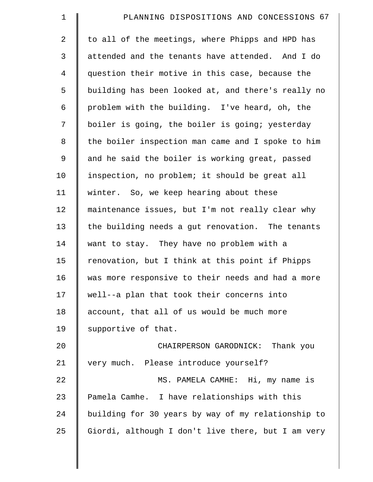| $\mathbf 1$ | PLANNING DISPOSITIONS AND CONCESSIONS 67           |
|-------------|----------------------------------------------------|
| 2           | to all of the meetings, where Phipps and HPD has   |
| 3           | attended and the tenants have attended. And I do   |
| 4           | question their motive in this case, because the    |
| 5           | building has been looked at, and there's really no |
| 6           | problem with the building. I've heard, oh, the     |
| 7           | boiler is going, the boiler is going; yesterday    |
| 8           | the boiler inspection man came and I spoke to him  |
| 9           | and he said the boiler is working great, passed    |
| 10          | inspection, no problem; it should be great all     |
| 11          | winter. So, we keep hearing about these            |
| 12          | maintenance issues, but I'm not really clear why   |
| 13          | the building needs a gut renovation. The tenants   |
| 14          | want to stay. They have no problem with a          |
| 15          | renovation, but I think at this point if Phipps    |
| 16          | was more responsive to their needs and had a more  |
| 17          | well--a plan that took their concerns into         |
| 18          | account, that all of us would be much more         |
| 19          | supportive of that.                                |
| 20          | CHAIRPERSON GARODNICK:<br>Thank you                |
| 21          | very much. Please introduce yourself?              |
| 22          | MS. PAMELA CAMHE: Hi, my name is                   |
| 23          | Pamela Camhe. I have relationships with this       |
| 24          | building for 30 years by way of my relationship to |
| 25          | Giordi, although I don't live there, but I am very |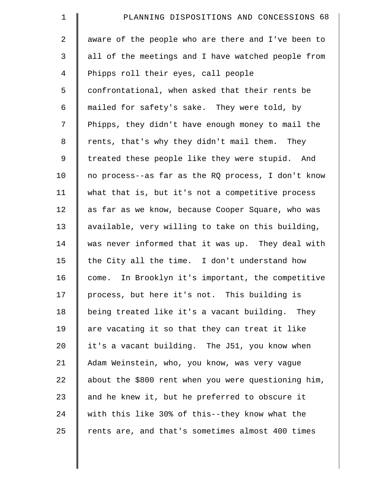| $\mathbf 1$    | PLANNING DISPOSITIONS AND CONCESSIONS 68            |
|----------------|-----------------------------------------------------|
| $\overline{2}$ | aware of the people who are there and I've been to  |
| 3              | all of the meetings and I have watched people from  |
| 4              | Phipps roll their eyes, call people                 |
| 5              | confrontational, when asked that their rents be     |
| 6              | mailed for safety's sake. They were told, by        |
| 7              | Phipps, they didn't have enough money to mail the   |
| 8              | rents, that's why they didn't mail them. They       |
| 9              | treated these people like they were stupid. And     |
| 10             | no process--as far as the RQ process, I don't know  |
| 11             | what that is, but it's not a competitive process    |
| 12             | as far as we know, because Cooper Square, who was   |
| 13             | available, very willing to take on this building,   |
| 14             | was never informed that it was up. They deal with   |
| 15             | the City all the time. I don't understand how       |
| 16             | come. In Brooklyn it's important, the competitive   |
| 17             | process, but here it's not. This building is        |
| 18             | being treated like it's a vacant building. They     |
| 19             | are vacating it so that they can treat it like      |
| 20             | it's a vacant building. The J51, you know when      |
| 21             | Adam Weinstein, who, you know, was very vague       |
| 22             | about the \$800 rent when you were questioning him, |
| 23             | and he knew it, but he preferred to obscure it      |
| 24             | with this like 30% of this--they know what the      |
| 25             | rents are, and that's sometimes almost 400 times    |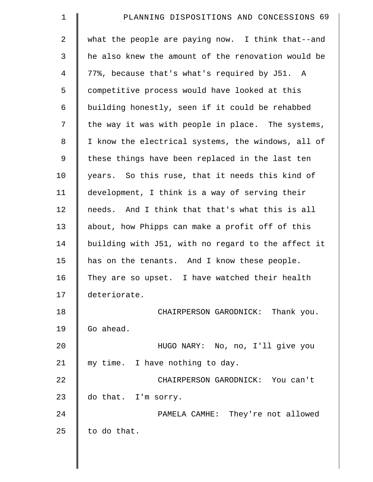| $\mathbf 1$    | PLANNING DISPOSITIONS AND CONCESSIONS 69           |
|----------------|----------------------------------------------------|
| 2              | what the people are paying now. I think that--and  |
| 3              | he also knew the amount of the renovation would be |
| $\overline{4}$ | 77%, because that's what's required by J51. A      |
| 5              | competitive process would have looked at this      |
| 6              | building honestly, seen if it could be rehabbed    |
| 7              | the way it was with people in place. The systems,  |
| 8              | I know the electrical systems, the windows, all of |
| 9              | these things have been replaced in the last ten    |
| 10             | years. So this ruse, that it needs this kind of    |
| 11             | development, I think is a way of serving their     |
| 12             | needs. And I think that that's what this is all    |
| 13             | about, how Phipps can make a profit off of this    |
| 14             | building with J51, with no regard to the affect it |
| 15             | has on the tenants. And I know these people.       |
| 16             | They are so upset. I have watched their health     |
| 17             | deteriorate.                                       |
| 18             | CHAIRPERSON GARODNICK: Thank you.                  |
| 19             | Go ahead.                                          |
| 20             | HUGO NARY: No, no, I'll give you                   |
| 21             | my time. I have nothing to day.                    |
| 22             | CHAIRPERSON GARODNICK: You can't                   |
| 23             | do that. I'm sorry.                                |
| 24             | PAMELA CAMHE: They're not allowed                  |
| 25             | to do that.                                        |
|                |                                                    |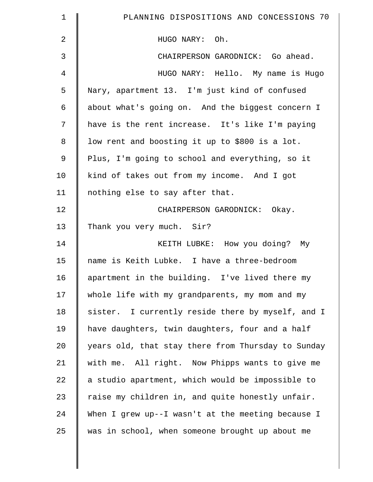| $\mathbf 1$    | PLANNING DISPOSITIONS AND CONCESSIONS 70           |
|----------------|----------------------------------------------------|
| $\overline{2}$ | HUGO NARY: Oh.                                     |
| 3              | CHAIRPERSON GARODNICK: Go ahead.                   |
| 4              | HUGO NARY: Hello. My name is Hugo                  |
| 5              | Nary, apartment 13. I'm just kind of confused      |
| 6              | about what's going on. And the biggest concern I   |
| 7              | have is the rent increase. It's like I'm paying    |
| 8              | low rent and boosting it up to \$800 is a lot.     |
| $\mathsf 9$    | Plus, I'm going to school and everything, so it    |
| 10             | kind of takes out from my income. And I got        |
| 11             | nothing else to say after that.                    |
| 12             | CHAIRPERSON GARODNICK: Okay.                       |
| 13             | Thank you very much. Sir?                          |
| 14             | KEITH LUBKE: How you doing? My                     |
| 15             | name is Keith Lubke. I have a three-bedroom        |
| 16             | apartment in the building. I've lived there my     |
| 17             | whole life with my grandparents, my mom and my     |
| 18             | sister. I currently reside there by myself, and I  |
| 19             | have daughters, twin daughters, four and a half    |
| 20             | years old, that stay there from Thursday to Sunday |
| 21             | with me. All right. Now Phipps wants to give me    |
| 22             | a studio apartment, which would be impossible to   |
| 23             | raise my children in, and quite honestly unfair.   |
| 24             | When I grew up--I wasn't at the meeting because I  |
| 25             | was in school, when someone brought up about me    |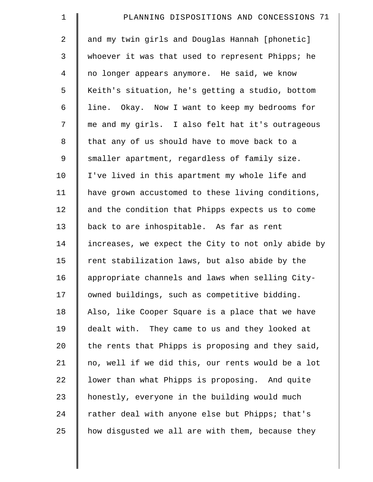| $\mathbf 1$    | PLANNING DISPOSITIONS AND CONCESSIONS 71           |
|----------------|----------------------------------------------------|
| $\overline{2}$ | and my twin girls and Douglas Hannah [phonetic]    |
| 3              | whoever it was that used to represent Phipps; he   |
| $\overline{4}$ | no longer appears anymore. He said, we know        |
| 5              | Keith's situation, he's getting a studio, bottom   |
| 6              | line. Okay. Now I want to keep my bedrooms for     |
| 7              | me and my girls. I also felt hat it's outrageous   |
| $\,8\,$        | that any of us should have to move back to a       |
| 9              | smaller apartment, regardless of family size.      |
| 10             | I've lived in this apartment my whole life and     |
| 11             | have grown accustomed to these living conditions,  |
| 12             | and the condition that Phipps expects us to come   |
| 13             | back to are inhospitable. As far as rent           |
| 14             | increases, we expect the City to not only abide by |
| 15             | rent stabilization laws, but also abide by the     |
| 16             | appropriate channels and laws when selling City-   |
| 17             | owned buildings, such as competitive bidding.      |
| 18             | Also, like Cooper Square is a place that we have   |
| 19             | dealt with. They came to us and they looked at     |
| 20             | the rents that Phipps is proposing and they said,  |
| 21             | no, well if we did this, our rents would be a lot  |
| 22             | lower than what Phipps is proposing. And quite     |
| 23             | honestly, everyone in the building would much      |
| 24             | rather deal with anyone else but Phipps; that's    |
| 25             | how disgusted we all are with them, because they   |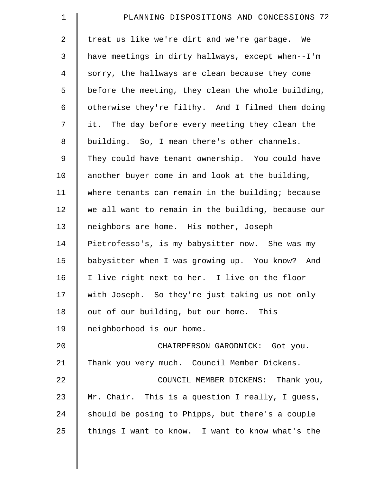| $\mathbf 1$    | PLANNING DISPOSITIONS AND CONCESSIONS 72           |
|----------------|----------------------------------------------------|
| $\overline{a}$ | treat us like we're dirt and we're garbage. We     |
| 3              | have meetings in dirty hallways, except when--I'm  |
| $\overline{4}$ | sorry, the hallways are clean because they come    |
| 5              | before the meeting, they clean the whole building, |
| 6              | otherwise they're filthy. And I filmed them doing  |
| 7              | it. The day before every meeting they clean the    |
| 8              | building. So, I mean there's other channels.       |
| 9              | They could have tenant ownership. You could have   |
| 10             | another buyer come in and look at the building,    |
| 11             | where tenants can remain in the building; because  |
| 12             | we all want to remain in the building, because our |
| 13             | neighbors are home. His mother, Joseph             |
| 14             | Pietrofesso's, is my babysitter now. She was my    |
| 15             | babysitter when I was growing up. You know? And    |
| 16             | I live right next to her. I live on the floor      |
| 17             | with Joseph. So they're just taking us not only    |
| 18             | out of our building, but our home. This            |
| 19             | neighborhood is our home.                          |
| 20             | CHAIRPERSON GARODNICK: Got you.                    |
| 21             | Thank you very much. Council Member Dickens.       |
| 22             | COUNCIL MEMBER DICKENS: Thank you,                 |
| 23             | Mr. Chair. This is a question I really, I guess,   |
| 24             | should be posing to Phipps, but there's a couple   |
| 25             | things I want to know. I want to know what's the   |
|                |                                                    |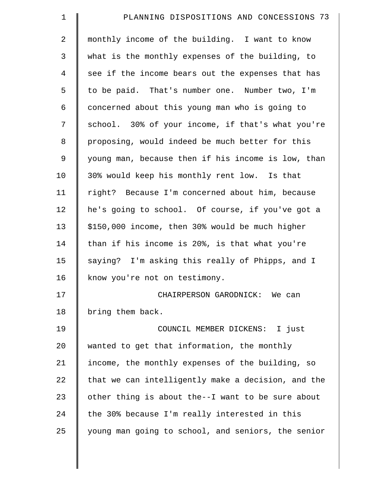| PLANNING DISPOSITIONS AND CONCESSIONS 73           |
|----------------------------------------------------|
| monthly income of the building. I want to know     |
| what is the monthly expenses of the building, to   |
| see if the income bears out the expenses that has  |
| to be paid. That's number one. Number two, I'm     |
| concerned about this young man who is going to     |
| school. 30% of your income, if that's what you're  |
| proposing, would indeed be much better for this    |
| young man, because then if his income is low, than |
| 30% would keep his monthly rent low. Is that       |
| right? Because I'm concerned about him, because    |
| he's going to school. Of course, if you've got a   |
| \$150,000 income, then 30% would be much higher    |
| than if his income is 20%, is that what you're     |
| saying? I'm asking this really of Phipps, and I    |
| know you're not on testimony.                      |
| CHAIRPERSON GARODNICK: We can                      |
| bring them back.                                   |
| COUNCIL MEMBER DICKENS: I just                     |
| wanted to get that information, the monthly        |
| income, the monthly expenses of the building, so   |
| that we can intelligently make a decision, and the |
| other thing is about the--I want to be sure about  |
| the 30% because I'm really interested in this      |
| young man going to school, and seniors, the senior |
|                                                    |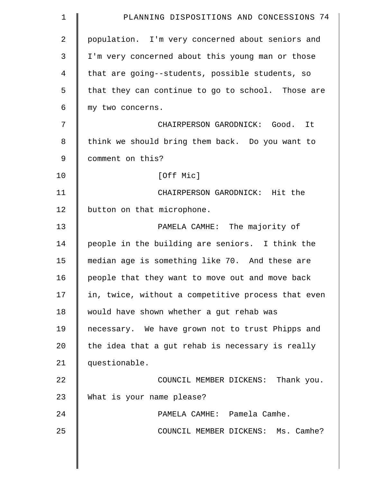| $\mathbf 1$    | PLANNING DISPOSITIONS AND CONCESSIONS 74           |
|----------------|----------------------------------------------------|
| $\overline{2}$ | population. I'm very concerned about seniors and   |
| 3              | I'm very concerned about this young man or those   |
| 4              | that are going--students, possible students, so    |
| 5              | that they can continue to go to school. Those are  |
| 6              | my two concerns.                                   |
| 7              | CHAIRPERSON GARODNICK: Good. It                    |
| 8              | think we should bring them back. Do you want to    |
| $\mathsf 9$    | comment on this?                                   |
| 10             | [Off Mic]                                          |
| 11             | CHAIRPERSON GARODNICK: Hit the                     |
| 12             | button on that microphone.                         |
| 13             | PAMELA CAMHE: The majority of                      |
| 14             | people in the building are seniors. I think the    |
| 15             | median age is something like 70. And these are     |
| 16             | people that they want to move out and move back    |
| 17             | in, twice, without a competitive process that even |
| 18             | would have shown whether a gut rehab was           |
| 19             | necessary. We have grown not to trust Phipps and   |
| 20             | the idea that a gut rehab is necessary is really   |
| 21             | questionable.                                      |
| 22             | COUNCIL MEMBER DICKENS: Thank you.                 |
| 23             | What is your name please?                          |
| 24             | PAMELA CAMHE: Pamela Camhe.                        |
| 25             | COUNCIL MEMBER DICKENS: Ms. Camhe?                 |
|                |                                                    |
|                |                                                    |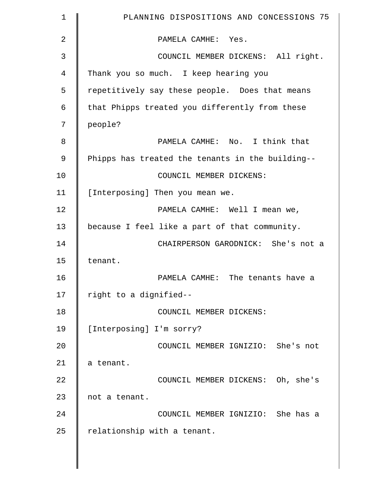| 1  | PLANNING DISPOSITIONS AND CONCESSIONS 75         |
|----|--------------------------------------------------|
| 2  | PAMELA CAMHE: Yes.                               |
| 3  | COUNCIL MEMBER DICKENS: All right.               |
| 4  | Thank you so much. I keep hearing you            |
| 5  | repetitively say these people. Does that means   |
| 6  | that Phipps treated you differently from these   |
| 7  | people?                                          |
| 8  | PAMELA CAMHE: No. I think that                   |
| 9  | Phipps has treated the tenants in the building-- |
| 10 | COUNCIL MEMBER DICKENS:                          |
| 11 | [Interposing] Then you mean we.                  |
| 12 | PAMELA CAMHE: Well I mean we,                    |
| 13 | because I feel like a part of that community.    |
| 14 | CHAIRPERSON GARODNICK: She's not a               |
| 15 | tenant.                                          |
| 16 | PAMELA CAMHE: The tenants have a                 |
| 17 | right to a dignified--                           |
| 18 | COUNCIL MEMBER DICKENS:                          |
| 19 | [Interposing] I'm sorry?                         |
| 20 | COUNCIL MEMBER IGNIZIO: She's not                |
| 21 | a tenant.                                        |
| 22 | COUNCIL MEMBER DICKENS: Oh, she's                |
| 23 | not a tenant.                                    |
| 24 | COUNCIL MEMBER IGNIZIO: She has a                |
| 25 | relationship with a tenant.                      |
|    |                                                  |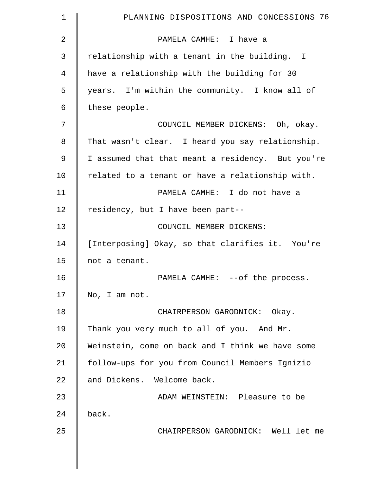| 1  | PLANNING DISPOSITIONS AND CONCESSIONS 76          |
|----|---------------------------------------------------|
| 2  | PAMELA CAMHE: I have a                            |
| 3  | relationship with a tenant in the building. I     |
| 4  | have a relationship with the building for 30      |
| 5  | years. I'm within the community. I know all of    |
| 6  | these people.                                     |
| 7  | COUNCIL MEMBER DICKENS: Oh, okay.                 |
| 8  | That wasn't clear. I heard you say relationship.  |
| 9  | I assumed that that meant a residency. But you're |
| 10 | related to a tenant or have a relationship with.  |
| 11 | PAMELA CAMHE: I do not have a                     |
| 12 | residency, but I have been part--                 |
| 13 | COUNCIL MEMBER DICKENS:                           |
| 14 | [Interposing] Okay, so that clarifies it. You're  |
| 15 | not a tenant.                                     |
| 16 | PAMELA CAMHE: -- of the process.                  |
| 17 | No, I am not.                                     |
| 18 | CHAIRPERSON GARODNICK: Okay.                      |
| 19 | Thank you very much to all of you. And Mr.        |
| 20 | Weinstein, come on back and I think we have some  |
| 21 | follow-ups for you from Council Members Ignizio   |
| 22 | and Dickens. Welcome back.                        |
| 23 | ADAM WEINSTEIN: Pleasure to be                    |
| 24 | back.                                             |
| 25 | CHAIRPERSON GARODNICK: Well let me                |
|    |                                                   |
|    |                                                   |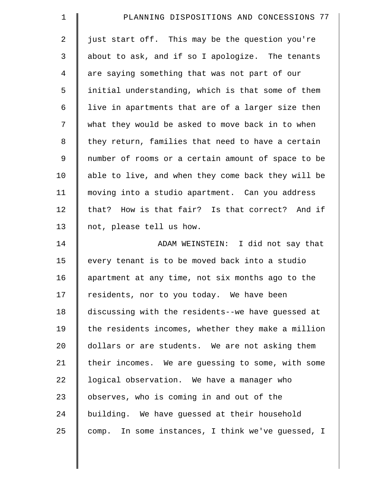| $\mathbf 1$    | PLANNING DISPOSITIONS AND CONCESSIONS 77           |
|----------------|----------------------------------------------------|
| $\overline{2}$ | just start off. This may be the question you're    |
| 3              | about to ask, and if so I apologize. The tenants   |
| 4              | are saying something that was not part of our      |
| 5              | initial understanding, which is that some of them  |
| 6              | live in apartments that are of a larger size then  |
| 7              | what they would be asked to move back in to when   |
| 8              | they return, families that need to have a certain  |
| $\mathsf 9$    | number of rooms or a certain amount of space to be |
| 10             | able to live, and when they come back they will be |
| 11             | moving into a studio apartment. Can you address    |
| 12             | that? How is that fair? Is that correct? And if    |
| 13             | not, please tell us how.                           |
| 14             | ADAM WEINSTEIN: I did not say that                 |
| 15             | every tenant is to be moved back into a studio     |
| 16             | apartment at any time, not six months ago to the   |
| 17             | residents, nor to you today. We have been          |
| 18             | discussing with the residents--we have guessed at  |
| 19             | the residents incomes, whether they make a million |
| 20             | dollars or are students. We are not asking them    |
| 21             | their incomes. We are quessing to some, with some  |
| 22             | logical observation. We have a manager who         |
| 23             | observes, who is coming in and out of the          |
| 24             | building. We have guessed at their household       |
| 25             | comp. In some instances, I think we've guessed, I  |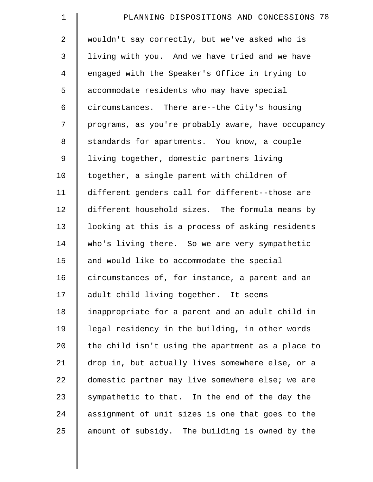| $\mathbf 1$    | PLANNING DISPOSITIONS AND CONCESSIONS 78           |
|----------------|----------------------------------------------------|
| $\overline{2}$ | wouldn't say correctly, but we've asked who is     |
| $\mathsf{3}$   | living with you. And we have tried and we have     |
| 4              | engaged with the Speaker's Office in trying to     |
| 5              | accommodate residents who may have special         |
| 6              | circumstances. There are--the City's housing       |
| 7              | programs, as you're probably aware, have occupancy |
| 8              | standards for apartments. You know, a couple       |
| 9              | living together, domestic partners living          |
| 10             | together, a single parent with children of         |
| 11             | different genders call for different--those are    |
| 12             | different household sizes. The formula means by    |
| 13             | looking at this is a process of asking residents   |
| 14             | who's living there. So we are very sympathetic     |
| 15             | and would like to accommodate the special          |
| 16             | circumstances of, for instance, a parent and an    |
| 17             | adult child living together. It seems              |
| 18             | inappropriate for a parent and an adult child in   |
| 19             | legal residency in the building, in other words    |
| 20             | the child isn't using the apartment as a place to  |
| 21             | drop in, but actually lives somewhere else, or a   |
| 22             | domestic partner may live somewhere else; we are   |
| 23             | sympathetic to that. In the end of the day the     |
| 24             | assignment of unit sizes is one that goes to the   |
| 25             | amount of subsidy. The building is owned by the    |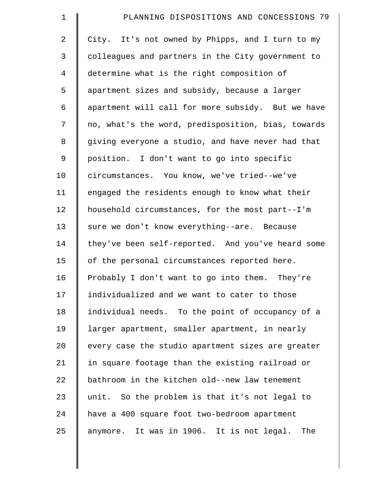| $\mathbf 1$    | PLANNING DISPOSITIONS AND CONCESSIONS 79           |
|----------------|----------------------------------------------------|
| $\overline{a}$ | City. It's not owned by Phipps, and I turn to my   |
| 3              | colleagues and partners in the City government to  |
| $\overline{4}$ | determine what is the right composition of         |
| 5              | apartment sizes and subsidy, because a larger      |
| 6              | apartment will call for more subsidy. But we have  |
| 7              | no, what's the word, predisposition, bias, towards |
| 8              | giving everyone a studio, and have never had that  |
| 9              | position. I don't want to go into specific         |
| 10             | circumstances. You know, we've tried--we've        |
| 11             | engaged the residents enough to know what their    |
| 12             | household circumstances, for the most part--I'm    |
| 13             | sure we don't know everything--are. Because        |
| 14             | they've been self-reported. And you've heard some  |
| 15             | of the personal circumstances reported here.       |
| 16             | Probably I don't want to go into them. They're     |
| 17             | individualized and we want to cater to those       |
| 18             | individual needs. To the point of occupancy of a   |
| 19             | larger apartment, smaller apartment, in nearly     |
| 20             | every case the studio apartment sizes are greater  |
| 21             | in square footage than the existing railroad or    |
| 22             | bathroom in the kitchen old--new law tenement      |
| 23             | unit. So the problem is that it's not legal to     |
| 24             | have a 400 square foot two-bedroom apartment       |
| 25             | anymore. It was in 1906. It is not legal. The      |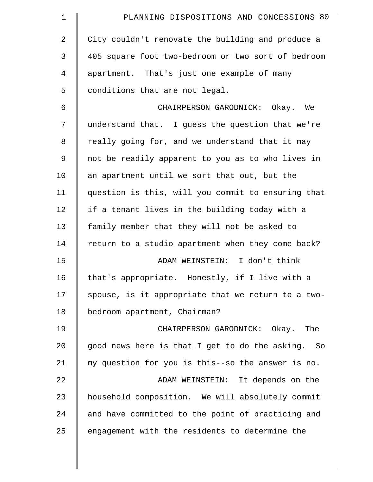| $\mathbf 1$ | PLANNING DISPOSITIONS AND CONCESSIONS 80           |
|-------------|----------------------------------------------------|
| 2           | City couldn't renovate the building and produce a  |
| 3           | 405 square foot two-bedroom or two sort of bedroom |
| 4           | apartment. That's just one example of many         |
| 5           | conditions that are not legal.                     |
| 6           | CHAIRPERSON GARODNICK: Okay. We                    |
| 7           | understand that. I guess the question that we're   |
| 8           | really going for, and we understand that it may    |
| 9           | not be readily apparent to you as to who lives in  |
| 10          | an apartment until we sort that out, but the       |
| 11          | question is this, will you commit to ensuring that |
| 12          | if a tenant lives in the building today with a     |
| 13          | family member that they will not be asked to       |
| 14          | return to a studio apartment when they come back?  |
| 15          | ADAM WEINSTEIN: I don't think                      |
| 16          | that's appropriate. Honestly, if I live with a     |
| 17          | spouse, is it appropriate that we return to a two- |
| 18          | bedroom apartment, Chairman?                       |
| 19          | CHAIRPERSON GARODNICK: Okay. The                   |
| 20          | good news here is that I get to do the asking. So  |
| 21          | my question for you is this--so the answer is no.  |
| 22          | ADAM WEINSTEIN: It depends on the                  |
| 23          | household composition. We will absolutely commit   |
| 24          | and have committed to the point of practicing and  |
| 25          | engagement with the residents to determine the     |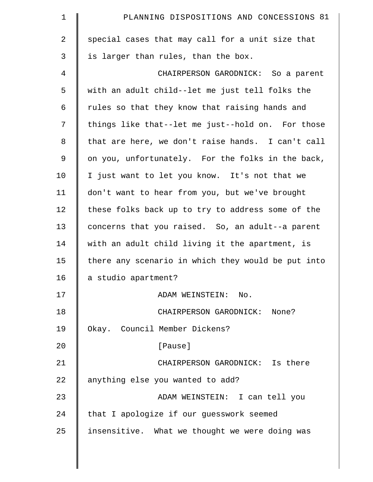| $\mathbf 1$ | PLANNING DISPOSITIONS AND CONCESSIONS 81           |
|-------------|----------------------------------------------------|
| 2           | special cases that may call for a unit size that   |
| 3           | is larger than rules, than the box.                |
| 4           | CHAIRPERSON GARODNICK: So a parent                 |
| 5           | with an adult child--let me just tell folks the    |
| 6           | rules so that they know that raising hands and     |
| 7           | things like that--let me just--hold on. For those  |
| 8           | that are here, we don't raise hands. I can't call  |
| 9           | on you, unfortunately. For the folks in the back,  |
| 10          | I just want to let you know. It's not that we      |
| 11          | don't want to hear from you, but we've brought     |
| 12          | these folks back up to try to address some of the  |
| 13          | concerns that you raised. So, an adult--a parent   |
| 14          | with an adult child living it the apartment, is    |
| 15          | there any scenario in which they would be put into |
| 16          | a studio apartment?                                |
| 17          | ADAM WEINSTEIN: No.                                |
| 18          | CHAIRPERSON GARODNICK: None?                       |
| 19          | Okay. Council Member Dickens?                      |
| 20          | [Pause]                                            |
| 21          | CHAIRPERSON GARODNICK: Is there                    |
| 22          | anything else you wanted to add?                   |
| 23          | ADAM WEINSTEIN: I can tell you                     |
| 24          | that I apologize if our guesswork seemed           |
| 25          | insensitive. What we thought we were doing was     |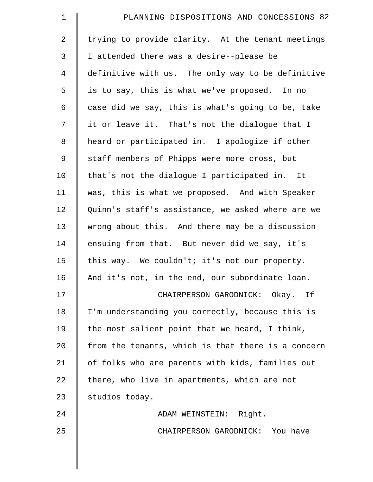| $\mathbf 1$    | PLANNING DISPOSITIONS AND CONCESSIONS 82           |
|----------------|----------------------------------------------------|
| 2              | trying to provide clarity. At the tenant meetings  |
| 3              | I attended there was a desire--please be           |
| $\overline{4}$ | definitive with us. The only way to be definitive  |
| 5              | is to say, this is what we've proposed. In no      |
| 6              | case did we say, this is what's going to be, take  |
| 7              | it or leave it. That's not the dialogue that I     |
| 8              | heard or participated in. I apologize if other     |
| 9              | staff members of Phipps were more cross, but       |
| 10             | that's not the dialogue I participated in. It      |
| 11             | was, this is what we proposed. And with Speaker    |
| 12             | Quinn's staff's assistance, we asked where are we  |
| 13             | wrong about this. And there may be a discussion    |
| 14             | ensuing from that. But never did we say, it's      |
| 15             | this way. We couldn't; it's not our property.      |
| 16             | And it's not, in the end, our subordinate loan.    |
| 17             | CHAIRPERSON GARODNICK: Okay. If                    |
| 18             | I'm understanding you correctly, because this is   |
| 19             | the most salient point that we heard, I think,     |
| 20             | from the tenants, which is that there is a concern |
| 21             | of folks who are parents with kids, families out   |
| 22             | there, who live in apartments, which are not       |
| 23             | studios today.                                     |
| 24             | ADAM WEINSTEIN: Right.                             |
| 25             | CHAIRPERSON GARODNICK: You have                    |
|                |                                                    |
|                |                                                    |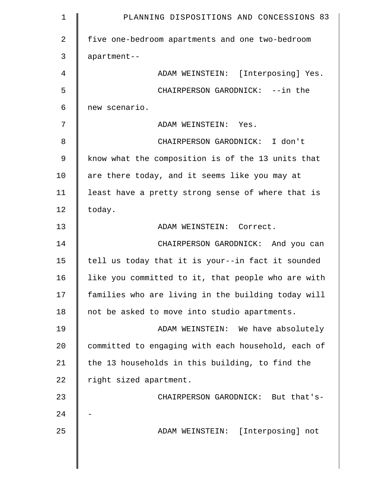| $\mathbf 1$    | PLANNING DISPOSITIONS AND CONCESSIONS 83           |
|----------------|----------------------------------------------------|
| $\overline{2}$ | five one-bedroom apartments and one two-bedroom    |
| 3              | apartment--                                        |
| 4              | ADAM WEINSTEIN: [Interposing] Yes.                 |
| 5              | CHAIRPERSON GARODNICK: --in the                    |
| 6              | new scenario.                                      |
| 7              | ADAM WEINSTEIN: Yes.                               |
| 8              | CHAIRPERSON GARODNICK: I don't                     |
| $\mathsf 9$    | know what the composition is of the 13 units that  |
| 10             | are there today, and it seems like you may at      |
| 11             | least have a pretty strong sense of where that is  |
| 12             | today.                                             |
| 13             | ADAM WEINSTEIN: Correct.                           |
| 14             | CHAIRPERSON GARODNICK: And you can                 |
| 15             | tell us today that it is your--in fact it sounded  |
| 16             | like you committed to it, that people who are with |
| 17             | families who are living in the building today will |
| 18             | not be asked to move into studio apartments.       |
| 19             | ADAM WEINSTEIN: We have absolutely                 |
| 20             | committed to engaging with each household, each of |
| 21             | the 13 households in this building, to find the    |
| 22             | right sized apartment.                             |
| 23             | CHAIRPERSON GARODNICK: But that's-                 |
| 24             |                                                    |
| 25             | [Interposing] not<br>ADAM WEINSTEIN:               |
|                |                                                    |
|                |                                                    |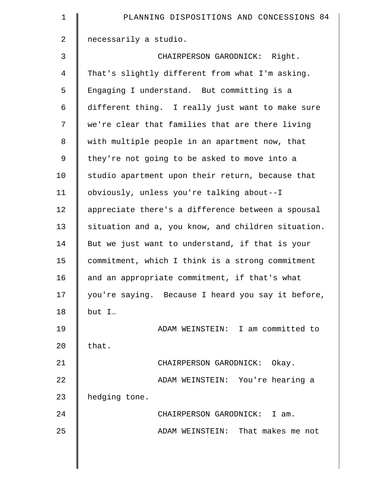| $\mathbf 1$ | PLANNING DISPOSITIONS AND CONCESSIONS 84           |
|-------------|----------------------------------------------------|
| 2           | necessarily a studio.                              |
| 3           | CHAIRPERSON GARODNICK: Right.                      |
| 4           | That's slightly different from what I'm asking.    |
| 5           | Engaging I understand. But committing is a         |
| 6           | different thing. I really just want to make sure   |
| 7           | we're clear that families that are there living    |
| $\,8\,$     | with multiple people in an apartment now, that     |
| $\mathsf 9$ | they're not going to be asked to move into a       |
| 10          | studio apartment upon their return, because that   |
| 11          | obviously, unless you're talking about--I          |
| 12          | appreciate there's a difference between a spousal  |
| 13          | situation and a, you know, and children situation. |
| 14          | But we just want to understand, if that is your    |
| 15          | commitment, which I think is a strong commitment   |
| 16          | and an appropriate commitment, if that's what      |
| 17          | you're saying. Because I heard you say it before,  |
| 18          | but I                                              |
| 19          | ADAM WEINSTEIN: I am committed to                  |
| 20          | that.                                              |
| 21          | CHAIRPERSON GARODNICK: Okay.                       |
| 22          | ADAM WEINSTEIN: You're hearing a                   |
| 23          | hedging tone.                                      |
| 24          | CHAIRPERSON GARODNICK:<br>I am.                    |
| 25          | ADAM WEINSTEIN: That makes me not                  |
|             |                                                    |
|             |                                                    |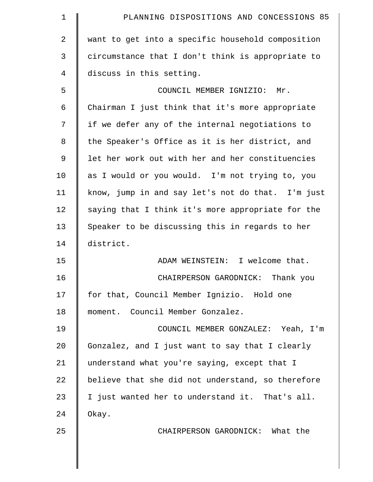| $\mathbf 1$   | PLANNING DISPOSITIONS AND CONCESSIONS 85          |
|---------------|---------------------------------------------------|
| 2             | want to get into a specific household composition |
| 3             | circumstance that I don't think is appropriate to |
| 4             | discuss in this setting.                          |
| 5             | COUNCIL MEMBER IGNIZIO: Mr.                       |
| 6             | Chairman I just think that it's more appropriate  |
| 7             | if we defer any of the internal negotiations to   |
| 8             | the Speaker's Office as it is her district, and   |
| $\mathcal{G}$ | let her work out with her and her constituencies  |
| 10            | as I would or you would. I'm not trying to, you   |
| 11            | know, jump in and say let's not do that. I'm just |
| 12            | saying that I think it's more appropriate for the |
| 13            | Speaker to be discussing this in regards to her   |
| 14            | district.                                         |
| 15            | ADAM WEINSTEIN: I welcome that.                   |
| 16            | CHAIRPERSON GARODNICK:<br>Thank you               |
| 17            | for that, Council Member Ignizio. Hold one        |
| 18            | moment. Council Member Gonzalez.                  |
| 19            | COUNCIL MEMBER GONZALEZ: Yeah, I'm                |
| 20            | Gonzalez, and I just want to say that I clearly   |
| 21            | understand what you're saying, except that I      |
| 22            | believe that she did not understand, so therefore |
| 23            | I just wanted her to understand it. That's all.   |
| 24            | Okay.                                             |
| 25            | CHAIRPERSON GARODNICK: What the                   |
|               |                                                   |
|               |                                                   |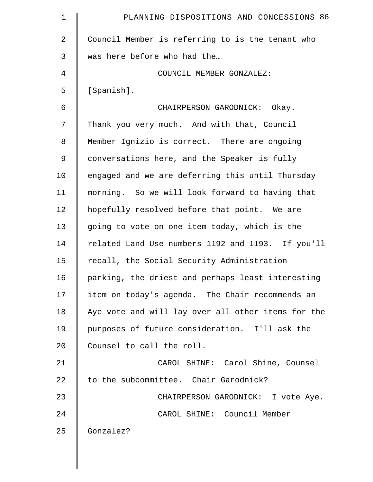| $\mathbf 1$    | PLANNING DISPOSITIONS AND CONCESSIONS 86           |
|----------------|----------------------------------------------------|
| 2              | Council Member is referring to is the tenant who   |
| 3              | was here before who had the                        |
| $\overline{4}$ | COUNCIL MEMBER GONZALEZ:                           |
| 5              | [Spanish].                                         |
| 6              | CHAIRPERSON GARODNICK: Okay.                       |
| 7              | Thank you very much. And with that, Council        |
| 8              | Member Ignizio is correct. There are ongoing       |
| 9              | conversations here, and the Speaker is fully       |
| 10             | engaged and we are deferring this until Thursday   |
| 11             | morning. So we will look forward to having that    |
| 12             | hopefully resolved before that point. We are       |
| 13             | going to vote on one item today, which is the      |
| 14             | related Land Use numbers 1192 and 1193. If you'll  |
| 15             | recall, the Social Security Administration         |
| 16             | parking, the driest and perhaps least interesting  |
| 17             | item on today's agenda. The Chair recommends an    |
| 18             | Aye vote and will lay over all other items for the |
| 19             | purposes of future consideration. I'll ask the     |
| 20             | Counsel to call the roll.                          |
| 21             | CAROL SHINE: Carol Shine, Counsel                  |
| 22             | to the subcommittee. Chair Garodnick?              |
| 23             | CHAIRPERSON GARODNICK: I vote Aye.                 |
| 24             | CAROL SHINE: Council Member                        |
| 25             | Gonzalez?                                          |
|                |                                                    |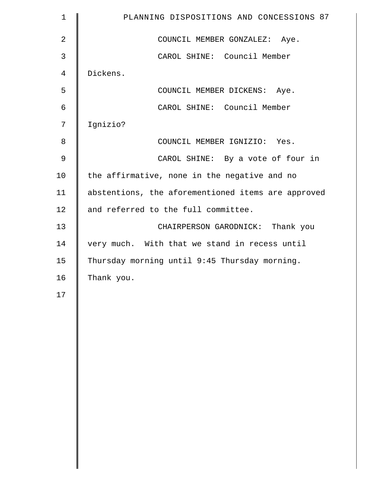| $\mathbf 1$    | PLANNING DISPOSITIONS AND CONCESSIONS 87           |
|----------------|----------------------------------------------------|
| $\overline{2}$ | COUNCIL MEMBER GONZALEZ: Aye.                      |
| 3              | CAROL SHINE: Council Member                        |
| 4              | Dickens.                                           |
| 5              | COUNCIL MEMBER DICKENS: Aye.                       |
| 6              | CAROL SHINE: Council Member                        |
| 7              | Ignizio?                                           |
| 8              | COUNCIL MEMBER IGNIZIO: Yes.                       |
| $\mathfrak{g}$ | CAROL SHINE: By a vote of four in                  |
| 10             | the affirmative, none in the negative and no       |
| 11             | abstentions, the aforementioned items are approved |
| 12             | and referred to the full committee.                |
| 13             | CHAIRPERSON GARODNICK: Thank you                   |
| 14             | very much. With that we stand in recess until      |
| 15             | Thursday morning until 9:45 Thursday morning.      |
| 16             | Thank you.                                         |
| 17             |                                                    |
|                |                                                    |
|                |                                                    |
|                |                                                    |
|                |                                                    |
|                |                                                    |
|                |                                                    |